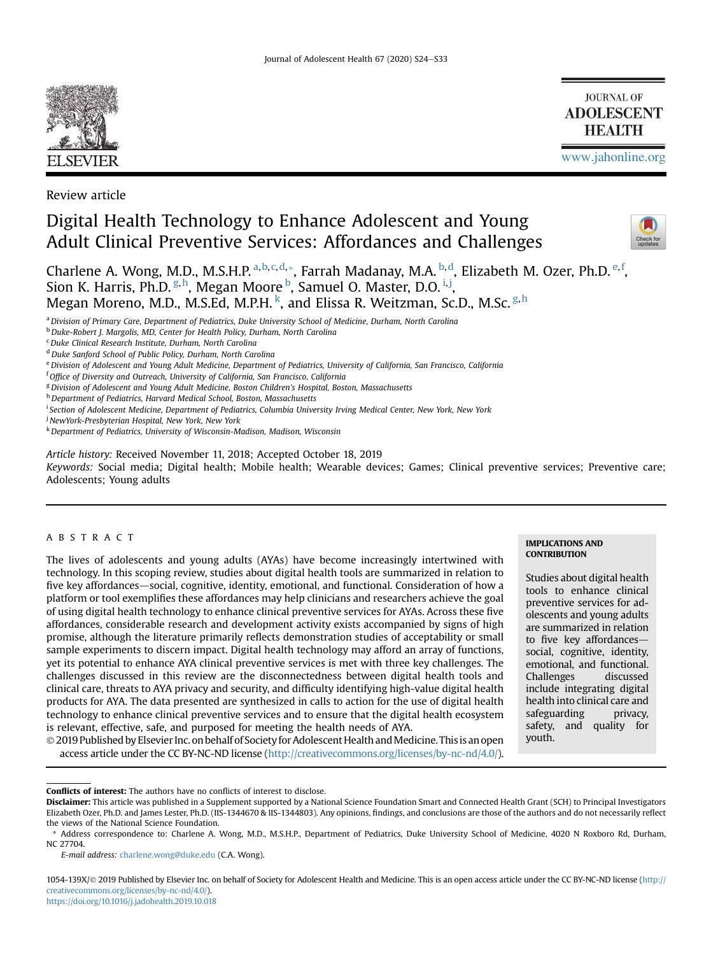

Review article

# Digital Health Technology to Enhance Adolescent and Young Adult Clinical Preventive Services: Affordances and Challenges



[www.jahonline.org](http://www.jahonline.org)

**JOURNAL OF ADOLESCENT HEALTH** 

Charlene A. Wong, M.D., M.S.H.P. <sup>[a,](#page-0-0) [b,](#page-0-1) [c,](#page-0-2) [d](#page-0-3),</sup> [\\*](#page-0-4), Farrah Madanay, M.A. <sup>[b](#page-0-1), d</sup>, Elizabeth M. Ozer, Ph.D. <sup>[e,](#page-0-5) [f](#page-0-6)</sup>, Sion K. Harris, Ph.D. <sup>[g,](#page-0-7) [h](#page-0-8)</sup>, Megan Moore <sup>[b](#page-0-1)</sup>, Samuel O. Master, D.O. <sup>[i](#page-0-9), [j](#page-0-10)</sup>, Megan Moreno, M.D., M.S.Ed, M.P.H. <sup>[k](#page-0-11)</sup>, and Elissa R. Weitzman, Sc.D., M.Sc. <sup>[g](#page-0-7), [h](#page-0-8)</sup>

<span id="page-0-0"></span>a Division of Primary Care, Department of Pediatrics, Duke University School of Medicine, Durham, North Carolina

<span id="page-0-1"></span>b Duke-Robert J. Margolis, MD, Center for Health Policy, Durham, North Carolina

<span id="page-0-2"></span> $c$ Duke Clinical Research Institute, Durham, North Carolina

<span id="page-0-3"></span><sup>d</sup> Duke Sanford School of Public Policy, Durham, North Carolina

<span id="page-0-5"></span>e Division of Adolescent and Young Adult Medicine, Department of Pediatrics, University of California, San Francisco, California

<span id="page-0-6"></span><sup>f</sup> Office of Diversity and Outreach, University of California, San Francisco, California

<span id="page-0-7"></span><sup>g</sup> Division of Adolescent and Young Adult Medicine, Boston Children's Hospital, Boston, Massachusetts

<span id="page-0-8"></span>h Department of Pediatrics, Harvard Medical School, Boston, Massachusetts

<span id="page-0-9"></span><sup>i</sup> Section of Adolescent Medicine, Department of Pediatrics, Columbia University Irving Medical Center, New York, New York

<span id="page-0-10"></span><sup>j</sup> NewYork-Presbyterian Hospital, New York, New York

<span id="page-0-11"></span><sup>k</sup>Department of Pediatrics, University of Wisconsin-Madison, Madison, Wisconsin

Article history: Received November 11, 2018; Accepted October 18, 2019

Keywords: Social media; Digital health; Mobile health; Wearable devices; Games; Clinical preventive services; Preventive care; Adolescents; Young adults

# ABSTRACT

The lives of adolescents and young adults (AYAs) have become increasingly intertwined with technology. In this scoping review, studies about digital health tools are summarized in relation to five key affordances—social, cognitive, identity, emotional, and functional. Consideration of how a platform or tool exemplifies these affordances may help clinicians and researchers achieve the goal of using digital health technology to enhance clinical preventive services for AYAs. Across these five affordances, considerable research and development activity exists accompanied by signs of high promise, although the literature primarily reflects demonstration studies of acceptability or small sample experiments to discern impact. Digital health technology may afford an array of functions, yet its potential to enhance AYA clinical preventive services is met with three key challenges. The challenges discussed in this review are the disconnectedness between digital health tools and clinical care, threats to AYA privacy and security, and difficulty identifying high-value digital health products for AYA. The data presented are synthesized in calls to action for the use of digital health technology to enhance clinical preventive services and to ensure that the digital health ecosystem is relevant, effective, safe, and purposed for meeting the health needs of AYA.

**CONTRIBUTION** 

**IMPLICATIONS AND** 

Studies about digital health tools to enhance clinical preventive services for adolescents and young adults are summarized in relation to five key affordancessocial, cognitive, identity, emotional, and functional. Challenges discussed include integrating digital health into clinical care and safeguarding privacy, safety, and quality for youth.

 $\odot$  2019 Published by Elsevier Inc. on behalf of Society for Adolescent Health and Medicine. This is an open access article under the CC BY-NC-ND license [\(http://creativecommons.org/licenses/by-nc-nd/4.0/](http://creativecommons.org/licenses/by-nc-nd/4.0/)).

Conflicts of interest: The authors have no conflicts of interest to disclose.

E-mail address: [charlene.wong@duke.edu](mailto:charlene.wong@duke.edu) (C.A. Wong).

1054-139X/© 2019 Published by Elsevier Inc. on behalf of Society for Adolescent Health and Medicine. This is an open access article under the CC BY-NC-ND license ([http://](http://creativecommons.org/licenses/by-nc-nd/4.0/) [creativecommons.org/licenses/by-nc-nd/4.0/\)](http://creativecommons.org/licenses/by-nc-nd/4.0/).

<https://doi.org/10.1016/j.jadohealth.2019.10.018>

Disclaimer: This article was published in a Supplement supported by a National Science Foundation Smart and Connected Health Grant (SCH) to Principal Investigators Elizabeth Ozer, Ph.D. and James Lester, Ph.D. (IIS-1344670 & IIS-1344803). Any opinions, findings, and conclusions are those of the authors and do not necessarily reflect the views of the National Science Foundation.

<span id="page-0-4"></span>Address correspondence to: Charlene A. Wong, M.D., M.S.H.P., Department of Pediatrics, Duke University School of Medicine, 4020 N Roxboro Rd, Durham, NC 27704.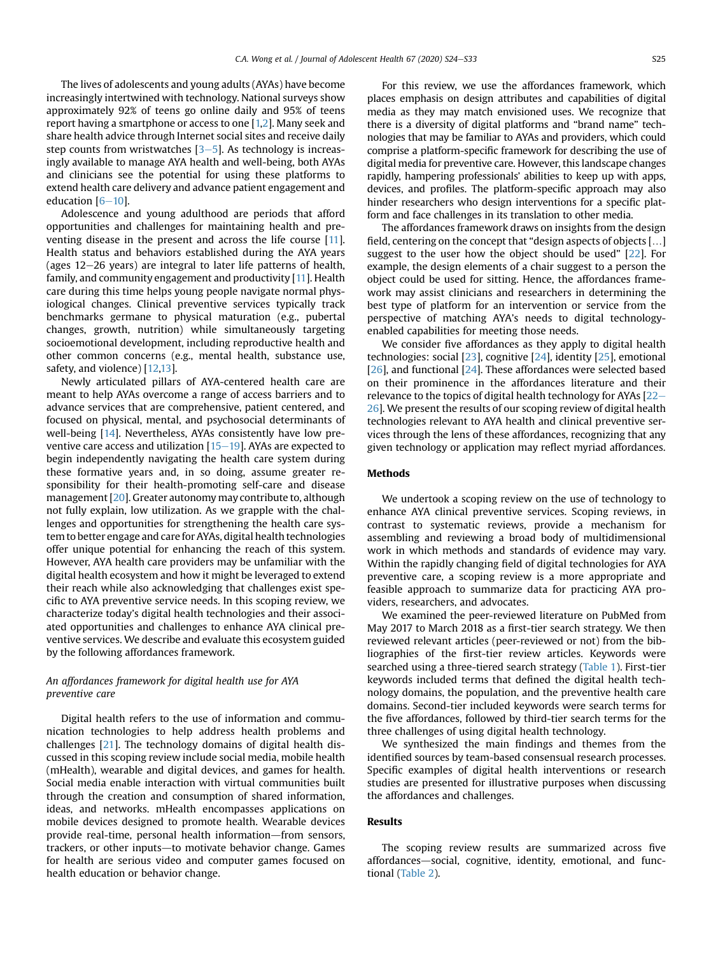The lives of adolescents and young adults (AYAs) have become increasingly intertwined with technology. National surveys show approximately 92% of teens go online daily and 95% of teens report having a smartphone or access to one [[1,](#page-7-0)[2\]](#page-7-1). Many seek and share health advice through Internet social sites and receive daily step counts from wristwatches  $[3-5]$  $[3-5]$  $[3-5]$ . As technology is increasingly available to manage AYA health and well-being, both AYAs and clinicians see the potential for using these platforms to extend health care delivery and advance patient engagement and education  $[6-10]$  $[6-10]$  $[6-10]$  $[6-10]$ .

Adolescence and young adulthood are periods that afford opportunities and challenges for maintaining health and preventing disease in the present and across the life course [\[11\]](#page-7-4). Health status and behaviors established during the AYA years (ages  $12-26$  years) are integral to later life patterns of health, family, and community engagement and productivity [[11](#page-7-4)]. Health care during this time helps young people navigate normal physiological changes. Clinical preventive services typically track benchmarks germane to physical maturation (e.g., pubertal changes, growth, nutrition) while simultaneously targeting socioemotional development, including reproductive health and other common concerns (e.g., mental health, substance use, safety, and violence) [[12,](#page-7-5)[13\]](#page-7-6).

Newly articulated pillars of AYA-centered health care are meant to help AYAs overcome a range of access barriers and to advance services that are comprehensive, patient centered, and focused on physical, mental, and psychosocial determinants of well-being [\[14](#page-7-7)]. Nevertheless, AYAs consistently have low preventive care access and utilization  $[15-19]$  $[15-19]$  $[15-19]$ . AYAs are expected to begin independently navigating the health care system during these formative years and, in so doing, assume greater responsibility for their health-promoting self-care and disease management [[20](#page-7-9)]. Greater autonomy may contribute to, although not fully explain, low utilization. As we grapple with the challenges and opportunities for strengthening the health care system to better engage and care for AYAs, digital health technologies offer unique potential for enhancing the reach of this system. However, AYA health care providers may be unfamiliar with the digital health ecosystem and how it might be leveraged to extend their reach while also acknowledging that challenges exist specific to AYA preventive service needs. In this scoping review, we characterize today's digital health technologies and their associated opportunities and challenges to enhance AYA clinical preventive services. We describe and evaluate this ecosystem guided by the following affordances framework.

# An affordances framework for digital health use for AYA preventive care

Digital health refers to the use of information and communication technologies to help address health problems and challenges [[21\]](#page-7-10). The technology domains of digital health discussed in this scoping review include social media, mobile health (mHealth), wearable and digital devices, and games for health. Social media enable interaction with virtual communities built through the creation and consumption of shared information, ideas, and networks. mHealth encompasses applications on mobile devices designed to promote health. Wearable devices provide real-time, personal health information-from sensors, trackers, or other inputs—to motivate behavior change. Games for health are serious video and computer games focused on health education or behavior change.

For this review, we use the affordances framework, which places emphasis on design attributes and capabilities of digital media as they may match envisioned uses. We recognize that there is a diversity of digital platforms and "brand name" technologies that may be familiar to AYAs and providers, which could comprise a platform-specific framework for describing the use of digital media for preventive care. However, this landscape changes rapidly, hampering professionals' abilities to keep up with apps, devices, and profiles. The platform-specific approach may also hinder researchers who design interventions for a specific platform and face challenges in its translation to other media.

The affordances framework draws on insights from the design field, centering on the concept that "design aspects of objects [...] suggest to the user how the object should be used" [[22](#page-7-11)]. For example, the design elements of a chair suggest to a person the object could be used for sitting. Hence, the affordances framework may assist clinicians and researchers in determining the best type of platform for an intervention or service from the perspective of matching AYA's needs to digital technologyenabled capabilities for meeting those needs.

We consider five affordances as they apply to digital health technologies: social [\[23\]](#page-7-12), cognitive [\[24\]](#page-7-13), identity [[25](#page-7-14)], emotional [[26](#page-7-15)], and functional [\[24\]](#page-7-13). These affordances were selected based on their prominence in the affordances literature and their relevance to the topics of digital health technology for AYAs  $[22 [22-$ [26](#page-7-11)]. We present the results of our scoping review of digital health technologies relevant to AYA health and clinical preventive services through the lens of these affordances, recognizing that any given technology or application may reflect myriad affordances.

# **Methods**

We undertook a scoping review on the use of technology to enhance AYA clinical preventive services. Scoping reviews, in contrast to systematic reviews, provide a mechanism for assembling and reviewing a broad body of multidimensional work in which methods and standards of evidence may vary. Within the rapidly changing field of digital technologies for AYA preventive care, a scoping review is a more appropriate and feasible approach to summarize data for practicing AYA providers, researchers, and advocates.

We examined the peer-reviewed literature on PubMed from May 2017 to March 2018 as a first-tier search strategy. We then reviewed relevant articles (peer-reviewed or not) from the bibliographies of the first-tier review articles. Keywords were searched using a three-tiered search strategy ([Table 1\)](#page-2-0). First-tier keywords included terms that defined the digital health technology domains, the population, and the preventive health care domains. Second-tier included keywords were search terms for the five affordances, followed by third-tier search terms for the three challenges of using digital health technology.

We synthesized the main findings and themes from the identified sources by team-based consensual research processes. Specific examples of digital health interventions or research studies are presented for illustrative purposes when discussing the affordances and challenges.

### Results

The scoping review results are summarized across five affordances-social, cognitive, identity, emotional, and functional ([Table 2\)](#page-2-1).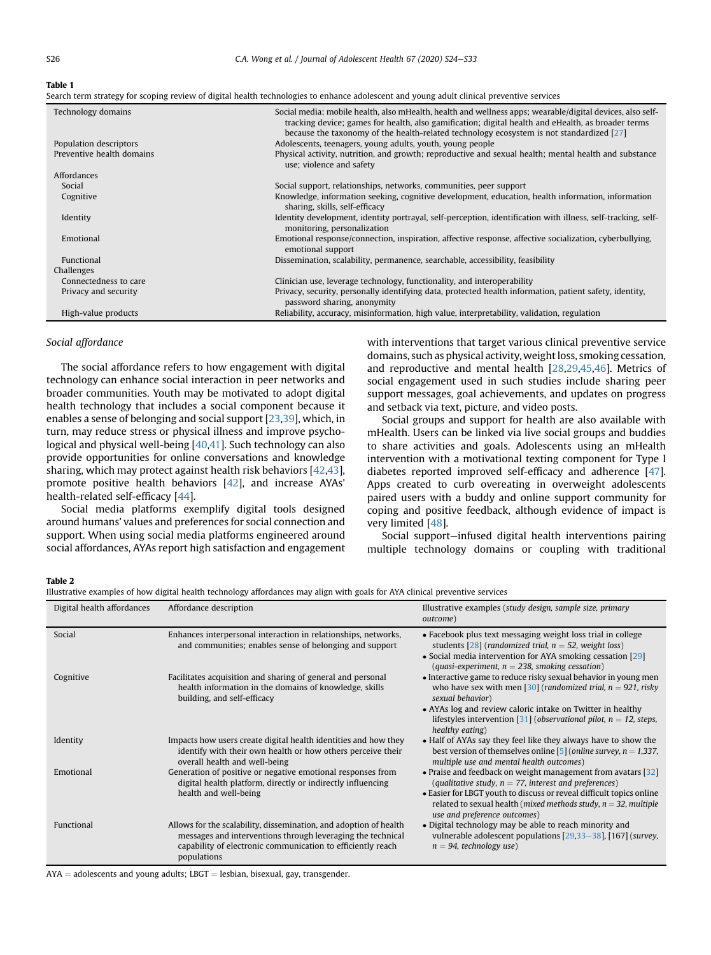#### <span id="page-2-0"></span>Table 1

Search term strategy for scoping review of digital health technologies to enhance adolescent and young adult clinical preventive services

| Technology domains        | Social media; mobile health, also mHealth, health and wellness apps; wearable/digital devices, also self-<br>tracking device; games for health, also gamification; digital health and eHealth, as broader terms<br>because the taxonomy of the health-related technology ecosystem is not standardized $[27]$ |
|---------------------------|---------------------------------------------------------------------------------------------------------------------------------------------------------------------------------------------------------------------------------------------------------------------------------------------------------------|
| Population descriptors    | Adolescents, teenagers, young adults, youth, young people                                                                                                                                                                                                                                                     |
| Preventive health domains | Physical activity, nutrition, and growth; reproductive and sexual health; mental health and substance<br>use; violence and safety                                                                                                                                                                             |
| Affordances               |                                                                                                                                                                                                                                                                                                               |
| Social                    | Social support, relationships, networks, communities, peer support                                                                                                                                                                                                                                            |
| Cognitive                 | Knowledge, information seeking, cognitive development, education, health information, information<br>sharing, skills, self-efficacy                                                                                                                                                                           |
| Identity                  | Identity development, identity portrayal, self-perception, identification with illness, self-tracking, self-<br>monitoring, personalization                                                                                                                                                                   |
| Emotional                 | Emotional response/connection, inspiration, affective response, affective socialization, cyberbullying,<br>emotional support                                                                                                                                                                                  |
| Functional                | Dissemination, scalability, permanence, searchable, accessibility, feasibility                                                                                                                                                                                                                                |
| Challenges                |                                                                                                                                                                                                                                                                                                               |
| Connectedness to care     | Clinician use, leverage technology, functionality, and interoperability                                                                                                                                                                                                                                       |
| Privacy and security      | Privacy, security, personally identifying data, protected health information, patient safety, identity,<br>password sharing, anonymity                                                                                                                                                                        |
| High-value products       | Reliability, accuracy, misinformation, high value, interpretability, validation, regulation                                                                                                                                                                                                                   |

# Social affordance

The social affordance refers to how engagement with digital technology can enhance social interaction in peer networks and broader communities. Youth may be motivated to adopt digital health technology that includes a social component because it enables a sense of belonging and social support [[23](#page-7-12)[,39\]](#page-7-16), which, in turn, may reduce stress or physical illness and improve psychological and physical well-being [[40,](#page-7-17)[41\]](#page-7-18). Such technology can also provide opportunities for online conversations and knowledge sharing, which may protect against health risk behaviors [\[42](#page-7-19)[,43\]](#page-8-0), promote positive health behaviors [[42](#page-7-19)], and increase AYAs' health-related self-efficacy [\[44\]](#page-8-1).

Social media platforms exemplify digital tools designed around humans' values and preferences for social connection and support. When using social media platforms engineered around social affordances, AYAs report high satisfaction and engagement with interventions that target various clinical preventive service domains, such as physical activity, weight loss, smoking cessation, and reproductive and mental health [[28](#page-7-20)[,29](#page-7-21)[,45,](#page-8-2)[46](#page-8-3)]. Metrics of social engagement used in such studies include sharing peer support messages, goal achievements, and updates on progress and setback via text, picture, and video posts.

Social groups and support for health are also available with mHealth. Users can be linked via live social groups and buddies to share activities and goals. Adolescents using an mHealth intervention with a motivational texting component for Type I diabetes reported improved self-efficacy and adherence [[47\]](#page-8-4). Apps created to curb overeating in overweight adolescents paired users with a buddy and online support community for coping and positive feedback, although evidence of impact is very limited [\[48\]](#page-8-5).

Social support-infused digital health interventions pairing multiple technology domains or coupling with traditional

### <span id="page-2-1"></span>Table 2

Illustrative examples of how digital health technology affordances may align with goals for AYA clinical preventive services

|                            | aan e enampies of hom alguar health technology ahoraanees may algu mith goals for minear preventive services                                                                                                   |                                                                                                                                                                                                                                                                                                                        |  |  |  |
|----------------------------|----------------------------------------------------------------------------------------------------------------------------------------------------------------------------------------------------------------|------------------------------------------------------------------------------------------------------------------------------------------------------------------------------------------------------------------------------------------------------------------------------------------------------------------------|--|--|--|
| Digital health affordances | Affordance description                                                                                                                                                                                         | Illustrative examples (study design, sample size, primary<br>outcome)                                                                                                                                                                                                                                                  |  |  |  |
| Social                     | Enhances interpersonal interaction in relationships, networks,<br>and communities; enables sense of belonging and support                                                                                      | • Facebook plus text messaging weight loss trial in college<br>students [28] (randomized trial, $n = 52$ , weight loss)<br>• Social media intervention for AYA smoking cessation [29]<br>(quasi-experiment, $n = 238$ , smoking cessation)                                                                             |  |  |  |
| Cognitive                  | Facilitates acquisition and sharing of general and personal<br>health information in the domains of knowledge, skills<br>building, and self-efficacy                                                           | • Interactive game to reduce risky sexual behavior in young men<br>who have sex with men [30] (randomized trial, $n = 921$ , risky<br>sexual behavior)<br>• AYAs log and review caloric intake on Twitter in healthy<br>lifestyles intervention [31] (observational pilot, $n = 12$ , steps,<br>healthy eating)        |  |  |  |
| Identity                   | Impacts how users create digital health identities and how they<br>identify with their own health or how others perceive their<br>overall health and well-being                                                | • Half of AYAs say they feel like they always have to show the<br>best version of themselves online [5] (online survey, $n = 1,337$ ,<br>multiple use and mental health outcomes)                                                                                                                                      |  |  |  |
| Emotional                  | Generation of positive or negative emotional responses from<br>digital health platform, directly or indirectly influencing<br>health and well-being                                                            | • Praise and feedback on weight management from avatars [32]<br>(qualitative study, $n = 77$ , interest and preferences)<br>• Easier for LBGT youth to discuss or reveal difficult topics online<br>related to sexual health ( <i>mixed methods study</i> , $n = 32$ , <i>multiple</i><br>use and preference outcomes) |  |  |  |
| Functional                 | Allows for the scalability, dissemination, and adoption of health<br>messages and interventions through leveraging the technical<br>capability of electronic communication to efficiently reach<br>populations | • Digital technology may be able to reach minority and<br>vulnerable adolescent populations [29,33-38], [167] (survey,<br>$n = 94$ , technology use)                                                                                                                                                                   |  |  |  |

 $AYA =$  adolescents and young adults; LBGT = lesbian, bisexual, gay, transgender.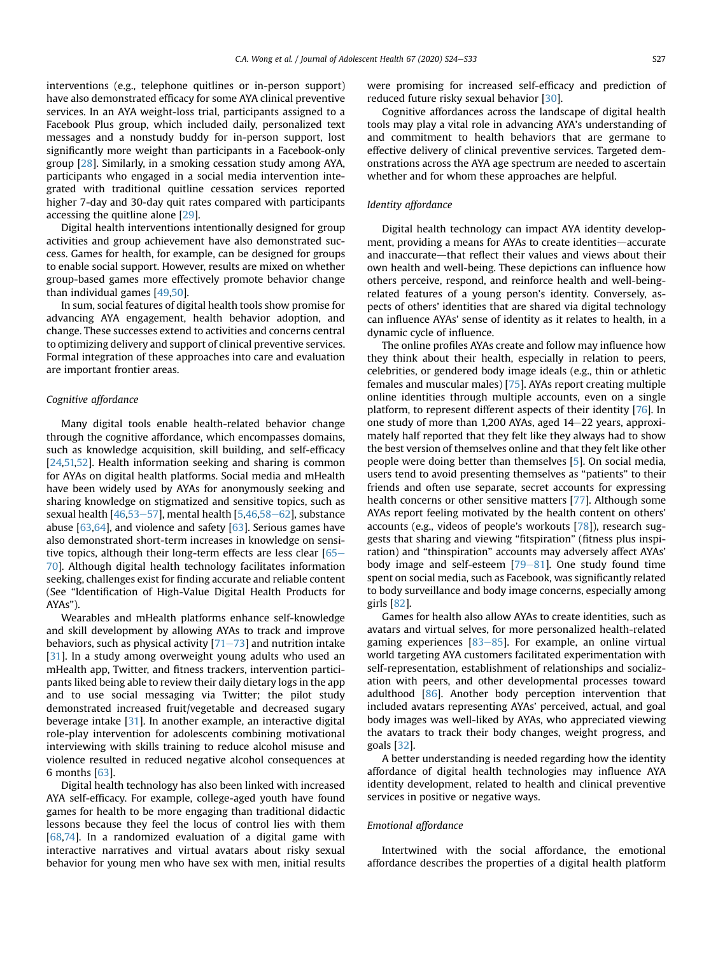interventions (e.g., telephone quitlines or in-person support) have also demonstrated efficacy for some AYA clinical preventive services. In an AYA weight-loss trial, participants assigned to a Facebook Plus group, which included daily, personalized text messages and a nonstudy buddy for in-person support, lost significantly more weight than participants in a Facebook-only group [[28](#page-7-20)]. Similarly, in a smoking cessation study among AYA, participants who engaged in a social media intervention integrated with traditional quitline cessation services reported higher 7-day and 30-day quit rates compared with participants accessing the quitline alone [\[29\]](#page-7-21).

Digital health interventions intentionally designed for group activities and group achievement have also demonstrated success. Games for health, for example, can be designed for groups to enable social support. However, results are mixed on whether group-based games more effectively promote behavior change than individual games [[49](#page-8-6)[,50](#page-8-7)].

In sum, social features of digital health tools show promise for advancing AYA engagement, health behavior adoption, and change. These successes extend to activities and concerns central to optimizing delivery and support of clinical preventive services. Formal integration of these approaches into care and evaluation are important frontier areas.

#### Cognitive affordance

Many digital tools enable health-related behavior change through the cognitive affordance, which encompasses domains, such as knowledge acquisition, skill building, and self-efficacy [[24](#page-7-13),[51,](#page-8-8)[52\]](#page-8-9). Health information seeking and sharing is common for AYAs on digital health platforms. Social media and mHealth have been widely used by AYAs for anonymously seeking and sharing knowledge on stigmatized and sensitive topics, such as sexual health  $[46,53-57]$  $[46,53-57]$  $[46,53-57]$  $[46,53-57]$ , mental health  $[5,46,58-62]$  $[5,46,58-62]$  $[5,46,58-62]$  $[5,46,58-62]$  $[5,46,58-62]$ , substance abuse [[63](#page-8-12)[,64\]](#page-8-13), and violence and safety [\[63\]](#page-8-12). Serious games have also demonstrated short-term increases in knowledge on sensitive topics, although their long-term effects are less clear  $[65 [65-$ [70](#page-8-14)]. Although digital health technology facilitates information seeking, challenges exist for finding accurate and reliable content (See "Identification of High-Value Digital Health Products for AYAs").

Wearables and mHealth platforms enhance self-knowledge and skill development by allowing AYAs to track and improve behaviors, such as physical activity  $[71–73]$  $[71–73]$  $[71–73]$  $[71–73]$  and nutrition intake [[31\]](#page-7-24). In a study among overweight young adults who used an mHealth app, Twitter, and fitness trackers, intervention participants liked being able to review their daily dietary logs in the app and to use social messaging via Twitter; the pilot study demonstrated increased fruit/vegetable and decreased sugary beverage intake [[31](#page-7-24)]. In another example, an interactive digital role-play intervention for adolescents combining motivational interviewing with skills training to reduce alcohol misuse and violence resulted in reduced negative alcohol consequences at 6 months [\[63\]](#page-8-12).

Digital health technology has also been linked with increased AYA self-efficacy. For example, college-aged youth have found games for health to be more engaging than traditional didactic lessons because they feel the locus of control lies with them [[68](#page-8-16)[,74\]](#page-8-17). In a randomized evaluation of a digital game with interactive narratives and virtual avatars about risky sexual behavior for young men who have sex with men, initial results were promising for increased self-efficacy and prediction of reduced future risky sexual behavior [[30](#page-7-23)].

Cognitive affordances across the landscape of digital health tools may play a vital role in advancing AYA's understanding of and commitment to health behaviors that are germane to effective delivery of clinical preventive services. Targeted demonstrations across the AYA age spectrum are needed to ascertain whether and for whom these approaches are helpful.

# Identity affordance

Digital health technology can impact AYA identity development, providing a means for AYAs to create identities—accurate and inaccurate-that reflect their values and views about their own health and well-being. These depictions can influence how others perceive, respond, and reinforce health and well-beingrelated features of a young person's identity. Conversely, aspects of others' identities that are shared via digital technology can influence AYAs' sense of identity as it relates to health, in a dynamic cycle of influence.

The online profiles AYAs create and follow may influence how they think about their health, especially in relation to peers, celebrities, or gendered body image ideals (e.g., thin or athletic females and muscular males) [\[75\]](#page-8-18). AYAs report creating multiple online identities through multiple accounts, even on a single platform, to represent different aspects of their identity [[76\]](#page-8-19). In one study of more than 1,200 AYAs, aged  $14-22$  years, approximately half reported that they felt like they always had to show the best version of themselves online and that they felt like other people were doing better than themselves [[5\]](#page-7-25). On social media, users tend to avoid presenting themselves as "patients" to their friends and often use separate, secret accounts for expressing health concerns or other sensitive matters [[77](#page-8-20)]. Although some AYAs report feeling motivated by the health content on others' accounts (e.g., videos of people's workouts [\[78\]](#page-8-21)), research suggests that sharing and viewing "fitspiration" (fitness plus inspiration) and "thinspiration" accounts may adversely affect AYAs' body image and self-esteem  $[79-81]$  $[79-81]$  $[79-81]$  $[79-81]$ . One study found time spent on social media, such as Facebook, was significantly related to body surveillance and body image concerns, especially among girls [\[82\]](#page-8-23).

Games for health also allow AYAs to create identities, such as avatars and virtual selves, for more personalized health-related gaming experiences  $[83-85]$  $[83-85]$  $[83-85]$  $[83-85]$ . For example, an online virtual world targeting AYA customers facilitated experimentation with self-representation, establishment of relationships and socialization with peers, and other developmental processes toward adulthood [[86](#page-8-25)]. Another body perception intervention that included avatars representing AYAs' perceived, actual, and goal body images was well-liked by AYAs, who appreciated viewing the avatars to track their body changes, weight progress, and goals [\[32\]](#page-7-26).

A better understanding is needed regarding how the identity affordance of digital health technologies may influence AYA identity development, related to health and clinical preventive services in positive or negative ways.

### Emotional affordance

Intertwined with the social affordance, the emotional affordance describes the properties of a digital health platform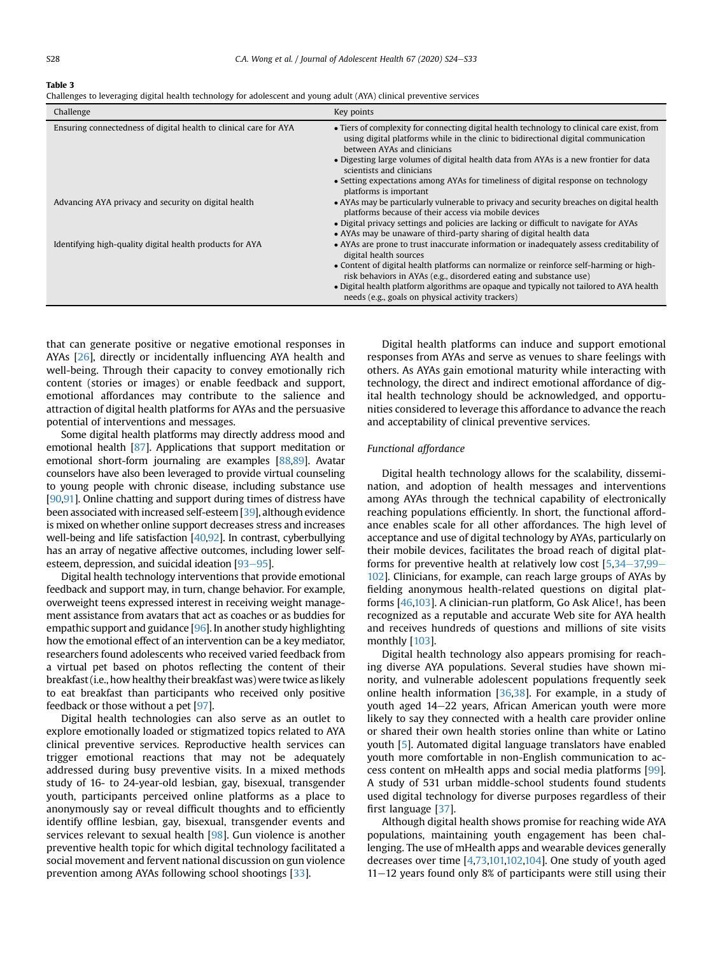#### <span id="page-4-0"></span>Table 3

Challenges to leveraging digital health technology for adolescent and young adult (AYA) clinical preventive services

| Challenge                                                         | Key points                                                                                                                                                                                                       |
|-------------------------------------------------------------------|------------------------------------------------------------------------------------------------------------------------------------------------------------------------------------------------------------------|
| Ensuring connectedness of digital health to clinical care for AYA | • Tiers of complexity for connecting digital health technology to clinical care exist, from<br>using digital platforms while in the clinic to bidirectional digital communication<br>between AYAs and clinicians |
|                                                                   | • Digesting large volumes of digital health data from AYAs is a new frontier for data<br>scientists and clinicians                                                                                               |
|                                                                   | • Setting expectations among AYAs for timeliness of digital response on technology<br>platforms is important                                                                                                     |
| Advancing AYA privacy and security on digital health              | • AYAs may be particularly vulnerable to privacy and security breaches on digital health<br>platforms because of their access via mobile devices                                                                 |
|                                                                   | • Digital privacy settings and policies are lacking or difficult to navigate for AYAs<br>• AYAs may be unaware of third-party sharing of digital health data                                                     |
| Identifying high-quality digital health products for AYA          | • AYAs are prone to trust inaccurate information or inadequately assess creditability of<br>digital health sources                                                                                               |
|                                                                   | • Content of digital health platforms can normalize or reinforce self-harming or high-<br>risk behaviors in AYAs (e.g., disordered eating and substance use)                                                     |
|                                                                   | • Digital health platform algorithms are opaque and typically not tailored to AYA health<br>needs (e.g., goals on physical activity trackers)                                                                    |

that can generate positive or negative emotional responses in AYAs [\[26\]](#page-7-15), directly or incidentally influencing AYA health and well-being. Through their capacity to convey emotionally rich content (stories or images) or enable feedback and support, emotional affordances may contribute to the salience and attraction of digital health platforms for AYAs and the persuasive potential of interventions and messages.

Some digital health platforms may directly address mood and emotional health [[87](#page-8-26)]. Applications that support meditation or emotional short-form journaling are examples [\[88](#page-8-27)[,89\]](#page-8-28). Avatar counselors have also been leveraged to provide virtual counseling to young people with chronic disease, including substance use [\[90](#page-8-29)[,91](#page-8-30)]. Online chatting and support during times of distress have been associated with increased self-esteem [\[39\]](#page-7-16), although evidence is mixed on whether online support decreases stress and increases well-being and life satisfaction [\[40](#page-7-17)[,92\]](#page-8-31). In contrast, cyberbullying has an array of negative affective outcomes, including lower selfesteem, depression, and suicidal ideation  $[93-95]$  $[93-95]$  $[93-95]$  $[93-95]$  $[93-95]$ .

Digital health technology interventions that provide emotional feedback and support may, in turn, change behavior. For example, overweight teens expressed interest in receiving weight management assistance from avatars that act as coaches or as buddies for empathic support and guidance [[96\]](#page-8-33). In another study highlighting how the emotional effect of an intervention can be a key mediator, researchers found adolescents who received varied feedback from a virtual pet based on photos reflecting the content of their breakfast (i.e., how healthy their breakfast was) were twice aslikely to eat breakfast than participants who received only positive feedback or those without a pet [[97\]](#page-8-34).

Digital health technologies can also serve as an outlet to explore emotionally loaded or stigmatized topics related to AYA clinical preventive services. Reproductive health services can trigger emotional reactions that may not be adequately addressed during busy preventive visits. In a mixed methods study of 16- to 24-year-old lesbian, gay, bisexual, transgender youth, participants perceived online platforms as a place to anonymously say or reveal difficult thoughts and to efficiently identify offline lesbian, gay, bisexual, transgender events and services relevant to sexual health [\[98\]](#page-8-35). Gun violence is another preventive health topic for which digital technology facilitated a social movement and fervent national discussion on gun violence prevention among AYAs following school shootings [[33](#page-7-27)].

Digital health platforms can induce and support emotional responses from AYAs and serve as venues to share feelings with others. As AYAs gain emotional maturity while interacting with technology, the direct and indirect emotional affordance of digital health technology should be acknowledged, and opportunities considered to leverage this affordance to advance the reach and acceptability of clinical preventive services.

## Functional affordance

Digital health technology allows for the scalability, dissemination, and adoption of health messages and interventions among AYAs through the technical capability of electronically reaching populations efficiently. In short, the functional affordance enables scale for all other affordances. The high level of acceptance and use of digital technology by AYAs, particularly on their mobile devices, facilitates the broad reach of digital platforms for preventive health at relatively low cost  $[5,34-37,99 [5,34-37,99 [5,34-37,99 [5,34-37,99 [5,34-37,99 [5,34-37,99 [5,34-37,99-$ [102](#page-8-36)]. Clinicians, for example, can reach large groups of AYAs by fielding anonymous health-related questions on digital platforms [[46](#page-8-3)[,103](#page-8-37)]. A clinician-run platform, Go Ask Alice!, has been recognized as a reputable and accurate Web site for AYA health and receives hundreds of questions and millions of site visits monthly [\[103\]](#page-8-37).

Digital health technology also appears promising for reaching diverse AYA populations. Several studies have shown minority, and vulnerable adolescent populations frequently seek online health information  $[36,38]$  $[36,38]$  $[36,38]$ . For example, in a study of youth aged 14–22 years, African American youth were more likely to say they connected with a health care provider online or shared their own health stories online than white or Latino youth [\[5](#page-7-25)]. Automated digital language translators have enabled youth more comfortable in non-English communication to access content on mHealth apps and social media platforms [\[99\]](#page-8-36). A study of 531 urban middle-school students found students used digital technology for diverse purposes regardless of their first language [\[37\]](#page-7-31).

Although digital health shows promise for reaching wide AYA populations, maintaining youth engagement has been challenging. The use of mHealth apps and wearable devices generally decreases over time [[4,](#page-7-32)[73,](#page-8-38)[101,](#page-8-39)[102,](#page-8-40)[104\]](#page-8-41). One study of youth aged  $11-12$  years found only 8% of participants were still using their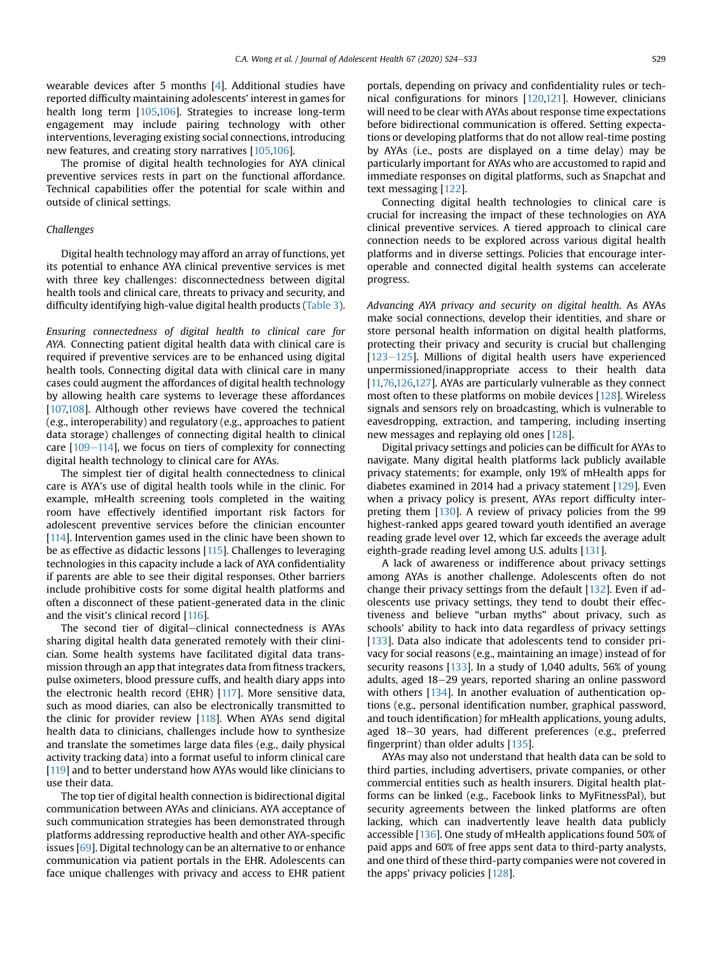wearable devices after 5 months [\[4\]](#page-7-32). Additional studies have reported difficulty maintaining adolescents' interest in games for health long term [[105](#page-8-42)[,106](#page-9-0)]. Strategies to increase long-term engagement may include pairing technology with other interventions, leveraging existing social connections, introducing new features, and creating story narratives [[105](#page-8-42)[,106](#page-9-0)].

The promise of digital health technologies for AYA clinical preventive services rests in part on the functional affordance. Technical capabilities offer the potential for scale within and outside of clinical settings.

# Challenges

Digital health technology may afford an array of functions, yet its potential to enhance AYA clinical preventive services is met with three key challenges: disconnectedness between digital health tools and clinical care, threats to privacy and security, and difficulty identifying high-value digital health products [\(Table 3\)](#page-4-0).

Ensuring connectedness of digital health to clinical care for AYA. Connecting patient digital health data with clinical care is required if preventive services are to be enhanced using digital health tools. Connecting digital data with clinical care in many cases could augment the affordances of digital health technology by allowing health care systems to leverage these affordances [[107,](#page-9-1)[108\]](#page-9-2). Although other reviews have covered the technical (e.g., interoperability) and regulatory (e.g., approaches to patient data storage) challenges of connecting digital health to clinical care  $[109-114]$  $[109-114]$  $[109-114]$  $[109-114]$ , we focus on tiers of complexity for connecting digital health technology to clinical care for AYAs.

The simplest tier of digital health connectedness to clinical care is AYA's use of digital health tools while in the clinic. For example, mHealth screening tools completed in the waiting room have effectively identified important risk factors for adolescent preventive services before the clinician encounter [[114](#page-9-4)]. Intervention games used in the clinic have been shown to be as effective as didactic lessons [[115\]](#page-9-5). Challenges to leveraging technologies in this capacity include a lack of AYA confidentiality if parents are able to see their digital responses. Other barriers include prohibitive costs for some digital health platforms and often a disconnect of these patient-generated data in the clinic and the visit's clinical record [[116\]](#page-9-6).

The second tier of digital–clinical connectedness is AYAs sharing digital health data generated remotely with their clinician. Some health systems have facilitated digital data transmission through an app that integrates data from fitness trackers, pulse oximeters, blood pressure cuffs, and health diary apps into the electronic health record (EHR) [[117](#page-9-7)]. More sensitive data, such as mood diaries, can also be electronically transmitted to the clinic for provider review [\[118](#page-9-8)]. When AYAs send digital health data to clinicians, challenges include how to synthesize and translate the sometimes large data files (e.g., daily physical activity tracking data) into a format useful to inform clinical care [[119](#page-9-9)] and to better understand how AYAs would like clinicians to use their data.

The top tier of digital health connection is bidirectional digital communication between AYAs and clinicians. AYA acceptance of such communication strategies has been demonstrated through platforms addressing reproductive health and other AYA-specific issues [[69](#page-8-43)]. Digital technology can be an alternative to or enhance communication via patient portals in the EHR. Adolescents can face unique challenges with privacy and access to EHR patient

portals, depending on privacy and confidentiality rules or technical configurations for minors [[120,](#page-9-10)[121\]](#page-9-11). However, clinicians will need to be clear with AYAs about response time expectations before bidirectional communication is offered. Setting expectations or developing platforms that do not allow real-time posting by AYAs (i.e., posts are displayed on a time delay) may be particularly important for AYAs who are accustomed to rapid and immediate responses on digital platforms, such as Snapchat and text messaging [[122\]](#page-9-12).

Connecting digital health technologies to clinical care is crucial for increasing the impact of these technologies on AYA clinical preventive services. A tiered approach to clinical care connection needs to be explored across various digital health platforms and in diverse settings. Policies that encourage interoperable and connected digital health systems can accelerate progress.

Advancing AYA privacy and security on digital health. As AYAs make social connections, develop their identities, and share or store personal health information on digital health platforms, protecting their privacy and security is crucial but challenging  $[123-125]$  $[123-125]$  $[123-125]$  $[123-125]$ . Millions of digital health users have experienced unpermissioned/inappropriate access to their health data [[11,](#page-7-4)[76,](#page-8-19)[126,](#page-9-14)[127\]](#page-9-15). AYAs are particularly vulnerable as they connect most often to these platforms on mobile devices [\[128\]](#page-9-16). Wireless signals and sensors rely on broadcasting, which is vulnerable to eavesdropping, extraction, and tampering, including inserting new messages and replaying old ones [[128](#page-9-16)].

Digital privacy settings and policies can be difficult for AYAs to navigate. Many digital health platforms lack publicly available privacy statements; for example, only 19% of mHealth apps for diabetes examined in 2014 had a privacy statement [\[129\]](#page-9-17). Even when a privacy policy is present, AYAs report difficulty interpreting them [[130](#page-9-18)]. A review of privacy policies from the 99 highest-ranked apps geared toward youth identified an average reading grade level over 12, which far exceeds the average adult eighth-grade reading level among U.S. adults [[131\]](#page-9-19).

A lack of awareness or indifference about privacy settings among AYAs is another challenge. Adolescents often do not change their privacy settings from the default [[132](#page-9-20)]. Even if adolescents use privacy settings, they tend to doubt their effectiveness and believe "urban myths" about privacy, such as schools' ability to hack into data regardless of privacy settings [[133](#page-9-21)]. Data also indicate that adolescents tend to consider privacy for social reasons (e.g., maintaining an image) instead of for security reasons [\[133\]](#page-9-21). In a study of 1,040 adults, 56% of young adults, aged 18–29 years, reported sharing an online password with others  $[134]$  $[134]$ . In another evaluation of authentication options (e.g., personal identification number, graphical password, and touch identification) for mHealth applications, young adults, aged 18-30 years, had different preferences (e.g., preferred fingerprint) than older adults [\[135\]](#page-9-23).

AYAs may also not understand that health data can be sold to third parties, including advertisers, private companies, or other commercial entities such as health insurers. Digital health platforms can be linked (e.g., Facebook links to MyFitnessPal), but security agreements between the linked platforms are often lacking, which can inadvertently leave health data publicly accessible [[136\]](#page-9-24). One study of mHealth applications found 50% of paid apps and 60% of free apps sent data to third-party analysts, and one third of these third-party companies were not covered in the apps' privacy policies [[128](#page-9-16)].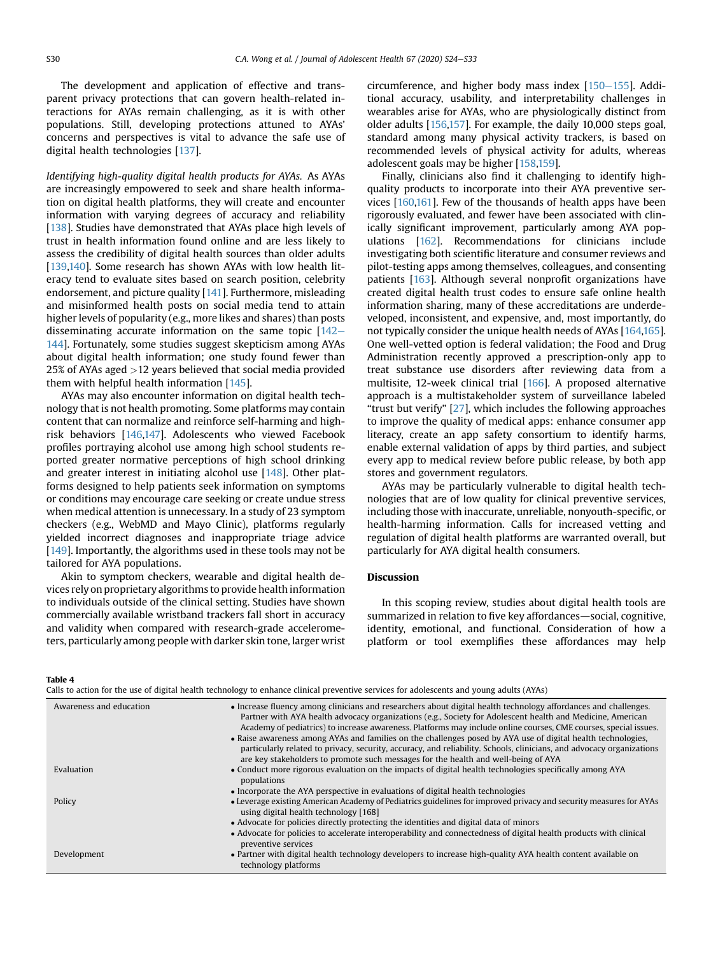The development and application of effective and transparent privacy protections that can govern health-related interactions for AYAs remain challenging, as it is with other populations. Still, developing protections attuned to AYAs' concerns and perspectives is vital to advance the safe use of digital health technologies [[137](#page-9-25)].

Identifying high-quality digital health products for AYAs. As AYAs are increasingly empowered to seek and share health information on digital health platforms, they will create and encounter information with varying degrees of accuracy and reliability [[138](#page-9-26)]. Studies have demonstrated that AYAs place high levels of trust in health information found online and are less likely to assess the credibility of digital health sources than older adults [[139](#page-9-27)[,140](#page-9-28)]. Some research has shown AYAs with low health literacy tend to evaluate sites based on search position, celebrity endorsement, and picture quality [[141](#page-9-29)]. Furthermore, misleading and misinformed health posts on social media tend to attain higher levels of popularity (e.g., more likes and shares) than posts disseminating accurate information on the same topic  $[142 [142 [142-$ [144\]](#page-9-30). Fortunately, some studies suggest skepticism among AYAs about digital health information; one study found fewer than 25% of AYAs aged >12 years believed that social media provided them with helpful health information [[145\]](#page-9-31).

AYAs may also encounter information on digital health technology that is not health promoting. Some platforms may contain content that can normalize and reinforce self-harming and highrisk behaviors [[146](#page-9-32)[,147\]](#page-9-33). Adolescents who viewed Facebook profiles portraying alcohol use among high school students reported greater normative perceptions of high school drinking and greater interest in initiating alcohol use [\[148\]](#page-9-34). Other platforms designed to help patients seek information on symptoms or conditions may encourage care seeking or create undue stress when medical attention is unnecessary. In a study of 23 symptom checkers (e.g., WebMD and Mayo Clinic), platforms regularly yielded incorrect diagnoses and inappropriate triage advice [[149](#page-9-35)]. Importantly, the algorithms used in these tools may not be tailored for AYA populations.

Akin to symptom checkers, wearable and digital health devices rely on proprietary algorithms to provide health information to individuals outside of the clinical setting. Studies have shown commercially available wristband trackers fall short in accuracy and validity when compared with research-grade accelerometers, particularly among people with darker skin tone, larger wrist circumference, and higher body mass index  $[150-155]$  $[150-155]$  $[150-155]$  $[150-155]$  $[150-155]$ . Additional accuracy, usability, and interpretability challenges in wearables arise for AYAs, who are physiologically distinct from older adults [[156](#page-9-37)[,157](#page-9-38)]. For example, the daily 10,000 steps goal, standard among many physical activity trackers, is based on recommended levels of physical activity for adults, whereas adolescent goals may be higher [[158](#page-9-39)[,159\]](#page-9-40).

Finally, clinicians also find it challenging to identify highquality products to incorporate into their AYA preventive services [\[160,](#page-9-41)[161\]](#page-9-42). Few of the thousands of health apps have been rigorously evaluated, and fewer have been associated with clinically significant improvement, particularly among AYA populations [\[162\]](#page-9-43). Recommendations for clinicians include investigating both scientific literature and consumer reviews and pilot-testing apps among themselves, colleagues, and consenting patients [\[163\]](#page-9-44). Although several nonprofit organizations have created digital health trust codes to ensure safe online health information sharing, many of these accreditations are underdeveloped, inconsistent, and expensive, and, most importantly, do not typically consider the unique health needs of AYAs [\[164,](#page-9-45)[165\]](#page-9-46). One well-vetted option is federal validation; the Food and Drug Administration recently approved a prescription-only app to treat substance use disorders after reviewing data from a multisite, 12-week clinical trial [\[166](#page-9-47)]. A proposed alternative approach is a multistakeholder system of surveillance labeled "trust but verify" [\[27\]](#page-7-22), which includes the following approaches to improve the quality of medical apps: enhance consumer app literacy, create an app safety consortium to identify harms, enable external validation of apps by third parties, and subject every app to medical review before public release, by both app stores and government regulators.

AYAs may be particularly vulnerable to digital health technologies that are of low quality for clinical preventive services, including those with inaccurate, unreliable, nonyouth-specific, or health-harming information. Calls for increased vetting and regulation of digital health platforms are warranted overall, but particularly for AYA digital health consumers.

# Discussion

In this scoping review, studies about digital health tools are summarized in relation to five key affordances—social, cognitive, identity, emotional, and functional. Consideration of how a platform or tool exemplifies these affordances may help

#### <span id="page-6-0"></span>Table 4

|  | Calls to action for the use of digital health technology to enhance clinical preventive services for adolescents and young adults (AYAs) |  |
|--|------------------------------------------------------------------------------------------------------------------------------------------|--|
|  |                                                                                                                                          |  |
|  |                                                                                                                                          |  |

| Awareness and education | • Increase fluency among clinicians and researchers about digital health technology affordances and challenges.<br>Partner with AYA health advocacy organizations (e.g., Society for Adolescent health and Medicine, American<br>Academy of pediatrics) to increase awareness. Platforms may include online courses, CME courses, special issues.<br>• Raise awareness among AYAs and families on the challenges posed by AYA use of digital health technologies,<br>particularly related to privacy, security, accuracy, and reliability. Schools, clinicians, and advocacy organizations<br>are key stakeholders to promote such messages for the health and well-being of AYA |
|-------------------------|----------------------------------------------------------------------------------------------------------------------------------------------------------------------------------------------------------------------------------------------------------------------------------------------------------------------------------------------------------------------------------------------------------------------------------------------------------------------------------------------------------------------------------------------------------------------------------------------------------------------------------------------------------------------------------|
| Evaluation              | • Conduct more rigorous evaluation on the impacts of digital health technologies specifically among AYA<br>populations                                                                                                                                                                                                                                                                                                                                                                                                                                                                                                                                                           |
|                         | • Incorporate the AYA perspective in evaluations of digital health technologies                                                                                                                                                                                                                                                                                                                                                                                                                                                                                                                                                                                                  |
| Policy                  | • Leverage existing American Academy of Pediatrics guidelines for improved privacy and security measures for AYAs<br>using digital health technology [168]                                                                                                                                                                                                                                                                                                                                                                                                                                                                                                                       |
|                         | • Advocate for policies directly protecting the identities and digital data of minors                                                                                                                                                                                                                                                                                                                                                                                                                                                                                                                                                                                            |
|                         | • Advocate for policies to accelerate interoperability and connectedness of digital health products with clinical<br>preventive services                                                                                                                                                                                                                                                                                                                                                                                                                                                                                                                                         |
| Development             | • Partner with digital health technology developers to increase high-quality AYA health content available on<br>technology platforms                                                                                                                                                                                                                                                                                                                                                                                                                                                                                                                                             |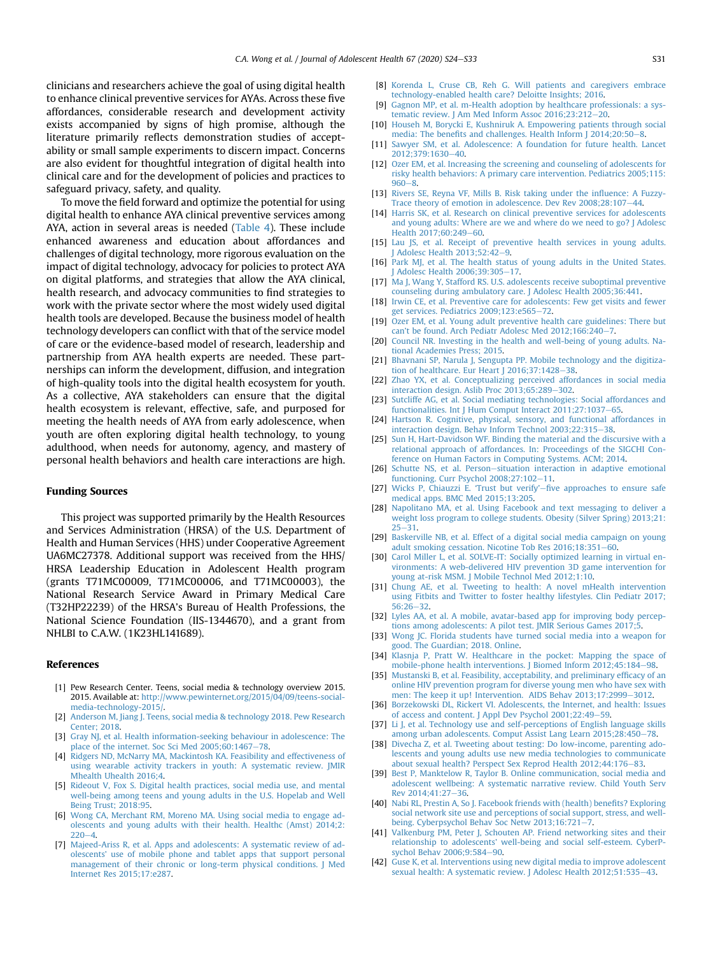clinicians and researchers achieve the goal of using digital health to enhance clinical preventive services for AYAs. Across these five affordances, considerable research and development activity exists accompanied by signs of high promise, although the literature primarily reflects demonstration studies of acceptability or small sample experiments to discern impact. Concerns are also evident for thoughtful integration of digital health into clinical care and for the development of policies and practices to safeguard privacy, safety, and quality.

To move the field forward and optimize the potential for using digital health to enhance AYA clinical preventive services among AYA, action in several areas is needed ([Table 4\)](#page-6-0). These include enhanced awareness and education about affordances and challenges of digital technology, more rigorous evaluation on the impact of digital technology, advocacy for policies to protect AYA on digital platforms, and strategies that allow the AYA clinical, health research, and advocacy communities to find strategies to work with the private sector where the most widely used digital health tools are developed. Because the business model of health technology developers can conflict with that of the service model of care or the evidence-based model of research, leadership and partnership from AYA health experts are needed. These partnerships can inform the development, diffusion, and integration of high-quality tools into the digital health ecosystem for youth. As a collective, AYA stakeholders can ensure that the digital health ecosystem is relevant, effective, safe, and purposed for meeting the health needs of AYA from early adolescence, when youth are often exploring digital health technology, to young adulthood, when needs for autonomy, agency, and mastery of personal health behaviors and health care interactions are high.

### Funding Sources

This project was supported primarily by the Health Resources and Services Administration (HRSA) of the U.S. Department of Health and Human Services (HHS) under Cooperative Agreement UA6MC27378. Additional support was received from the HHS/ HRSA Leadership Education in Adolescent Health program (grants T71MC00009, T71MC00006, and T71MC00003), the National Research Service Award in Primary Medical Care (T32HP22239) of the HRSA's Bureau of Health Professions, the National Science Foundation (IIS-1344670), and a grant from NHLBI to C.A.W. (1K23HL141689).

#### <span id="page-7-0"></span>References

- [1] Pew Research Center. Teens, social media & technology overview 2015. 2015. Available at: [http://www.pewinternet.org/2015/04/09/teens-social](http://www.pewinternet.org/2015/04/09/teens-social-media-technology-2015/)[media-technology-2015/](http://www.pewinternet.org/2015/04/09/teens-social-media-technology-2015/).
- <span id="page-7-2"></span><span id="page-7-1"></span>[2] [Anderson M, Jiang J. Teens, social media & technology 2018. Pew Research](http://refhub.elsevier.com/S1054-139X(19)30867-5/sref2) [Center; 2018.](http://refhub.elsevier.com/S1054-139X(19)30867-5/sref2)
- <span id="page-7-32"></span>[3] [Gray NJ, et al. Health information-seeking behaviour in adolescence: The](http://refhub.elsevier.com/S1054-139X(19)30867-5/sref3) [place of the internet. Soc Sci Med 2005;60:1467](http://refhub.elsevier.com/S1054-139X(19)30867-5/sref3)-[78.](http://refhub.elsevier.com/S1054-139X(19)30867-5/sref3)
- [4] [Ridgers ND, McNarry MA, Mackintosh KA. Feasibility and effectiveness of](http://refhub.elsevier.com/S1054-139X(19)30867-5/sref4) [using wearable activity trackers in youth: A systematic review. JMIR](http://refhub.elsevier.com/S1054-139X(19)30867-5/sref4) [Mhealth Uhealth 2016;4](http://refhub.elsevier.com/S1054-139X(19)30867-5/sref4).
- <span id="page-7-25"></span>[5] [Rideout V, Fox S. Digital health practices, social media use, and mental](http://refhub.elsevier.com/S1054-139X(19)30867-5/sref5) [well-being among teens and young adults in the U.S. Hopelab and Well](http://refhub.elsevier.com/S1054-139X(19)30867-5/sref5) [Being Trust; 2018:95](http://refhub.elsevier.com/S1054-139X(19)30867-5/sref5).
- <span id="page-7-3"></span>[6] [Wong CA, Merchant RM, Moreno MA. Using social media to engage ad](http://refhub.elsevier.com/S1054-139X(19)30867-5/sref6)[olescents and young adults with their health. Healthc \(Amst\) 2014;2:](http://refhub.elsevier.com/S1054-139X(19)30867-5/sref6)  $220 - 4$  $220 - 4$  $220 - 4$
- [7] [Majeed-Ariss R, et al. Apps and adolescents: A systematic review of ad](http://refhub.elsevier.com/S1054-139X(19)30867-5/sref7)olescents' [use of mobile phone and tablet apps that support personal](http://refhub.elsevier.com/S1054-139X(19)30867-5/sref7) [management of their chronic or long-term physical conditions. J Med](http://refhub.elsevier.com/S1054-139X(19)30867-5/sref7) [Internet Res 2015;17:e287.](http://refhub.elsevier.com/S1054-139X(19)30867-5/sref7)
- [8] [Korenda L, Cruse CB, Reh G. Will patients and caregivers embrace](http://refhub.elsevier.com/S1054-139X(19)30867-5/sref8) [technology-enabled health care? Deloitte Insights; 2016](http://refhub.elsevier.com/S1054-139X(19)30867-5/sref8).
- [9] [Gagnon MP, et al. m-Health adoption by healthcare professionals: a sys](http://refhub.elsevier.com/S1054-139X(19)30867-5/sref9)[tematic review. J Am Med Inform Assoc 2016;23:212](http://refhub.elsevier.com/S1054-139X(19)30867-5/sref9)-[20.](http://refhub.elsevier.com/S1054-139X(19)30867-5/sref9)
- [10] Househ M, Borycki E, Kushniruk A, Empowering patients through social media: The benefits and challenges. Health Inform  $[2014;20:50-8]$  $[2014;20:50-8]$  $[2014;20:50-8]$ .
- <span id="page-7-4"></span>[11] [Sawyer SM, et al. Adolescence: A foundation for future health. Lancet](http://refhub.elsevier.com/S1054-139X(19)30867-5/sref11) 2012:379:1630-[40](http://refhub.elsevier.com/S1054-139X(19)30867-5/sref11).
- <span id="page-7-5"></span>[12] [Ozer EM, et al. Increasing the screening and counseling of adolescents for](http://refhub.elsevier.com/S1054-139X(19)30867-5/sref12) [risky health behaviors: A primary care intervention. Pediatrics 2005;115:](http://refhub.elsevier.com/S1054-139X(19)30867-5/sref12)  $960 - 8.$  $960 - 8.$  $960 - 8.$
- <span id="page-7-6"></span>[13] [Rivers SE, Reyna VF, Mills B. Risk taking under the in](http://refhub.elsevier.com/S1054-139X(19)30867-5/sref13)fluence: A Fuzzy-[Trace theory of emotion in adolescence. Dev Rev 2008;28:107](http://refhub.elsevier.com/S1054-139X(19)30867-5/sref13)-[44.](http://refhub.elsevier.com/S1054-139X(19)30867-5/sref13)
- <span id="page-7-7"></span>[14] [Harris SK, et al. Research on clinical preventive services for adolescents](http://refhub.elsevier.com/S1054-139X(19)30867-5/sref14) [and young adults: Where are we and where do we need to go? J Adolesc](http://refhub.elsevier.com/S1054-139X(19)30867-5/sref14) [Health 2017;60:249](http://refhub.elsevier.com/S1054-139X(19)30867-5/sref14)-[60](http://refhub.elsevier.com/S1054-139X(19)30867-5/sref14).
- <span id="page-7-8"></span>[15] [Lau JS, et al. Receipt of preventive health services in young adults.](http://refhub.elsevier.com/S1054-139X(19)30867-5/sref15) I Adolesc Health  $2013:52:42-9$  $2013:52:42-9$ .
- [16] [Park MJ, et al. The health status of young adults in the United States.](http://refhub.elsevier.com/S1054-139X(19)30867-5/sref16) I Adolesc Health 2006:39:305-[17.](http://refhub.elsevier.com/S1054-139X(19)30867-5/sref16)
- [17] [Ma J, Wang Y, Stafford RS. U.S. adolescents receive suboptimal preventive](http://refhub.elsevier.com/S1054-139X(19)30867-5/sref17) [counseling during ambulatory care. J Adolesc Health 2005;36:441.](http://refhub.elsevier.com/S1054-139X(19)30867-5/sref17)
- [18] [Irwin CE, et al. Preventive care for adolescents: Few get visits and fewer](http://refhub.elsevier.com/S1054-139X(19)30867-5/sref18) [get services. Pediatrics 2009;123:e565](http://refhub.elsevier.com/S1054-139X(19)30867-5/sref18)-[72](http://refhub.elsevier.com/S1054-139X(19)30867-5/sref18).
- [19] [Ozer EM, et al. Young adult preventive health care guidelines: There but](http://refhub.elsevier.com/S1054-139X(19)30867-5/sref19) can'[t be found. Arch Pediatr Adolesc Med 2012;166:240](http://refhub.elsevier.com/S1054-139X(19)30867-5/sref19)-[7.](http://refhub.elsevier.com/S1054-139X(19)30867-5/sref19)
- <span id="page-7-9"></span>[20] [Council NR. Investing in the health and well-being of young adults. Na](http://refhub.elsevier.com/S1054-139X(19)30867-5/sref20)[tional Academies Press; 2015](http://refhub.elsevier.com/S1054-139X(19)30867-5/sref20).
- <span id="page-7-10"></span>[21] [Bhavnani SP, Narula J, Sengupta PP. Mobile technology and the digitiza](http://refhub.elsevier.com/S1054-139X(19)30867-5/sref21)tion of healthcare. Eur Heart  $J$  2016;37:1428-[38](http://refhub.elsevier.com/S1054-139X(19)30867-5/sref21).
- <span id="page-7-11"></span>[22] [Zhao YX, et al. Conceptualizing perceived affordances in social media](http://refhub.elsevier.com/S1054-139X(19)30867-5/sref22) [interaction design. Aslib Proc 2013;65:289](http://refhub.elsevier.com/S1054-139X(19)30867-5/sref22)-[302.](http://refhub.elsevier.com/S1054-139X(19)30867-5/sref22)
- <span id="page-7-12"></span>[23] [Sutcliffe AG, et al. Social mediating technologies: Social affordances and](http://refhub.elsevier.com/S1054-139X(19)30867-5/sref23) [functionalities. Int J Hum Comput Interact 2011;27:1037](http://refhub.elsevier.com/S1054-139X(19)30867-5/sref23)-[65](http://refhub.elsevier.com/S1054-139X(19)30867-5/sref23).
- <span id="page-7-13"></span>[24] [Hartson R. Cognitive, physical, sensory, and functional affordances in](http://refhub.elsevier.com/S1054-139X(19)30867-5/sref24) [interaction design. Behav Inform Technol 2003;22:315](http://refhub.elsevier.com/S1054-139X(19)30867-5/sref24)-[38](http://refhub.elsevier.com/S1054-139X(19)30867-5/sref24).
- <span id="page-7-14"></span>[25] [Sun H, Hart-Davidson WF. Binding the material and the discursive with a](http://refhub.elsevier.com/S1054-139X(19)30867-5/sref25) [relational approach of affordances. In: Proceedings of the SIGCHI Con](http://refhub.elsevier.com/S1054-139X(19)30867-5/sref25)[ference on Human Factors in Computing Systems. ACM; 2014.](http://refhub.elsevier.com/S1054-139X(19)30867-5/sref25)
- <span id="page-7-15"></span>[26] [Schutte NS, et al. Person](http://refhub.elsevier.com/S1054-139X(19)30867-5/sref26)–[situation interaction in adaptive emotional](http://refhub.elsevier.com/S1054-139X(19)30867-5/sref26) functioning. Curr Psychol  $2008;27:102-11$ .
- <span id="page-7-22"></span>[27] [Wicks P, Chiauzzi E.](http://refhub.elsevier.com/S1054-139X(19)30867-5/sref27) 'Trust but verify'-fi[ve approaches to ensure safe](http://refhub.elsevier.com/S1054-139X(19)30867-5/sref27) [medical apps. BMC Med 2015;13:205](http://refhub.elsevier.com/S1054-139X(19)30867-5/sref27).
- <span id="page-7-20"></span>[28] [Napolitano MA, et al. Using Facebook and text messaging to deliver a](http://refhub.elsevier.com/S1054-139X(19)30867-5/sref28) [weight loss program to college students. Obesity \(Silver Spring\) 2013;21:](http://refhub.elsevier.com/S1054-139X(19)30867-5/sref28)  $25 - 31.$  $25 - 31.$  $25 - 31.$
- <span id="page-7-21"></span>[29] [Baskerville NB, et al. Effect of a digital social media campaign on young](http://refhub.elsevier.com/S1054-139X(19)30867-5/sref29) [adult smoking cessation. Nicotine Tob Res 2016;18:351](http://refhub.elsevier.com/S1054-139X(19)30867-5/sref29)-[60.](http://refhub.elsevier.com/S1054-139X(19)30867-5/sref29)
- <span id="page-7-23"></span>[30] [Carol Miller L, et al. SOLVE-IT: Socially optimized learning in virtual en](http://refhub.elsevier.com/S1054-139X(19)30867-5/sref30)[vironments: A web-delivered HIV prevention 3D game intervention for](http://refhub.elsevier.com/S1054-139X(19)30867-5/sref30) [young at-risk MSM. J Mobile Technol Med 2012;1:10](http://refhub.elsevier.com/S1054-139X(19)30867-5/sref30).
- <span id="page-7-24"></span>[31] [Chung AE, et al. Tweeting to health: A novel mHealth intervention](http://refhub.elsevier.com/S1054-139X(19)30867-5/sref31) [using Fitbits and Twitter to foster healthy lifestyles. Clin Pediatr 2017;](http://refhub.elsevier.com/S1054-139X(19)30867-5/sref31)  $56:26-32.$  $56:26-32.$  $56:26-32.$
- <span id="page-7-26"></span>[32] [Lyles AA, et al. A mobile, avatar-based app for improving body percep](http://refhub.elsevier.com/S1054-139X(19)30867-5/sref32)[tions among adolescents: A pilot test. JMIR Serious Games 2017;5.](http://refhub.elsevier.com/S1054-139X(19)30867-5/sref32)
- <span id="page-7-27"></span>[33] [Wong JC. Florida students have turned social media into a weapon for](http://refhub.elsevier.com/S1054-139X(19)30867-5/sref33) [good. The Guardian; 2018. Online.](http://refhub.elsevier.com/S1054-139X(19)30867-5/sref33)
- <span id="page-7-28"></span>[34] [Klasnja P, Pratt W. Healthcare in the pocket: Mapping the space of](http://refhub.elsevier.com/S1054-139X(19)30867-5/sref34) [mobile-phone health interventions. J Biomed Inform 2012;45:184](http://refhub.elsevier.com/S1054-139X(19)30867-5/sref34)-[98.](http://refhub.elsevier.com/S1054-139X(19)30867-5/sref34)
- [35] [Mustanski B, et al. Feasibility, acceptability, and preliminary ef](http://refhub.elsevier.com/S1054-139X(19)30867-5/sref35)ficacy of an [online HIV prevention program for diverse young men who have sex with](http://refhub.elsevier.com/S1054-139X(19)30867-5/sref35) [men: The keep it up! Intervention. AIDS Behav 2013;17:2999](http://refhub.elsevier.com/S1054-139X(19)30867-5/sref35)-[3012.](http://refhub.elsevier.com/S1054-139X(19)30867-5/sref35)
- <span id="page-7-29"></span>[36] [Borzekowski DL, Rickert VI. Adolescents, the Internet, and health: Issues](http://refhub.elsevier.com/S1054-139X(19)30867-5/sref36) [of access and content. J Appl Dev Psychol 2001;22:49](http://refhub.elsevier.com/S1054-139X(19)30867-5/sref36)-[59](http://refhub.elsevier.com/S1054-139X(19)30867-5/sref36).
- <span id="page-7-31"></span>[37] [Li J, et al. Technology use and self-perceptions of English language skills](http://refhub.elsevier.com/S1054-139X(19)30867-5/sref37) [among urban adolescents. Comput Assist Lang Learn 2015;28:450](http://refhub.elsevier.com/S1054-139X(19)30867-5/sref37)-[78](http://refhub.elsevier.com/S1054-139X(19)30867-5/sref37).
- <span id="page-7-30"></span>[38] [Divecha Z, et al. Tweeting about testing: Do low-income, parenting ado](http://refhub.elsevier.com/S1054-139X(19)30867-5/sref38)[lescents and young adults use new media technologies to communicate](http://refhub.elsevier.com/S1054-139X(19)30867-5/sref38) [about sexual health? Perspect Sex Reprod Health 2012;44:176](http://refhub.elsevier.com/S1054-139X(19)30867-5/sref38)-[83.](http://refhub.elsevier.com/S1054-139X(19)30867-5/sref38)
- <span id="page-7-16"></span>[39] [Best P, Manktelow R, Taylor B. Online communication, social media and](http://refhub.elsevier.com/S1054-139X(19)30867-5/sref39) [adolescent wellbeing: A systematic narrative review. Child Youth Serv](http://refhub.elsevier.com/S1054-139X(19)30867-5/sref39) [Rev 2014;41:27](http://refhub.elsevier.com/S1054-139X(19)30867-5/sref39)-[36](http://refhub.elsevier.com/S1054-139X(19)30867-5/sref39).
- <span id="page-7-17"></span>[40] [Nabi RL, Prestin A, So J. Facebook friends with \(health\) bene](http://refhub.elsevier.com/S1054-139X(19)30867-5/sref40)fits? Exploring [social network site use and perceptions of social support, stress, and well](http://refhub.elsevier.com/S1054-139X(19)30867-5/sref40)[being. Cyberpsychol Behav Soc Netw 2013;16:721](http://refhub.elsevier.com/S1054-139X(19)30867-5/sref40)-[7](http://refhub.elsevier.com/S1054-139X(19)30867-5/sref40).
- <span id="page-7-18"></span>[41] [Valkenburg PM, Peter J, Schouten AP. Friend networking sites and their](http://refhub.elsevier.com/S1054-139X(19)30867-5/sref41) relationship to adolescents' [well-being and social self-esteem. CyberP](http://refhub.elsevier.com/S1054-139X(19)30867-5/sref41)[sychol Behav 2006;9:584](http://refhub.elsevier.com/S1054-139X(19)30867-5/sref41)-[90](http://refhub.elsevier.com/S1054-139X(19)30867-5/sref41).
- <span id="page-7-19"></span>[42] [Guse K, et al. Interventions using new digital media to improve adolescent](http://refhub.elsevier.com/S1054-139X(19)30867-5/sref42) [sexual health: A systematic review. J Adolesc Health 2012;51:535](http://refhub.elsevier.com/S1054-139X(19)30867-5/sref42)-[43](http://refhub.elsevier.com/S1054-139X(19)30867-5/sref42).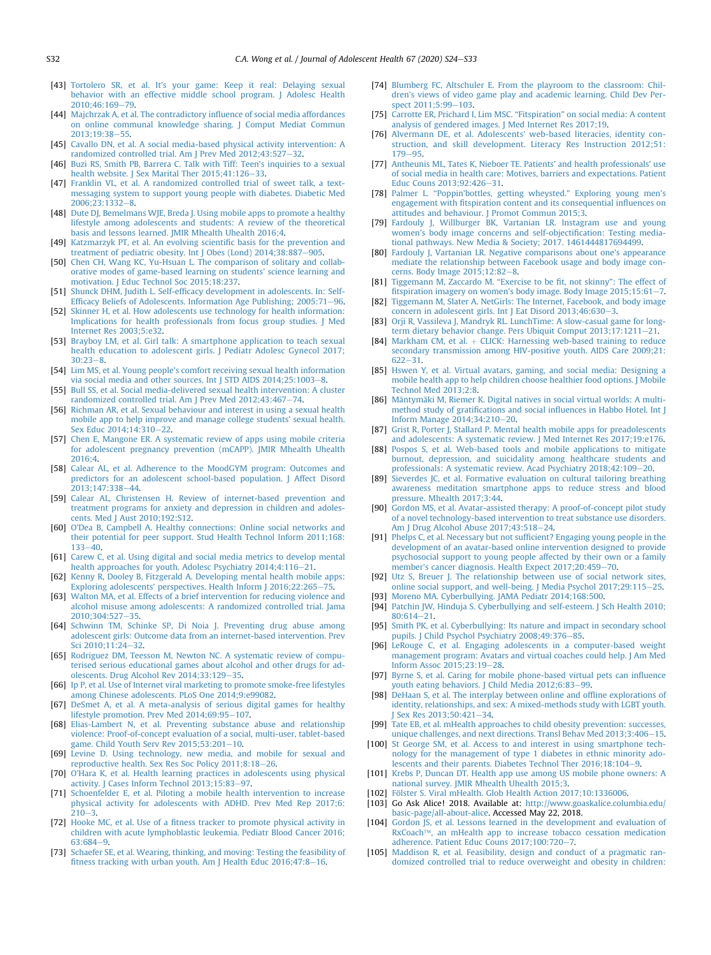- <span id="page-8-0"></span>[43] Tortolero SR, et al. It'[s your game: Keep it real: Delaying sexual](http://refhub.elsevier.com/S1054-139X(19)30867-5/sref43) [behavior with an effective middle school program. J Adolesc Health](http://refhub.elsevier.com/S1054-139X(19)30867-5/sref43) [2010;46:169](http://refhub.elsevier.com/S1054-139X(19)30867-5/sref43)-[79.](http://refhub.elsevier.com/S1054-139X(19)30867-5/sref43)
- <span id="page-8-1"></span>[44] [Majchrzak A, et al. The contradictory in](http://refhub.elsevier.com/S1054-139X(19)30867-5/sref44)fluence of social media affordances [on online communal knowledge sharing. J Comput Mediat Commun](http://refhub.elsevier.com/S1054-139X(19)30867-5/sref44) 2013:19:38-[55.](http://refhub.elsevier.com/S1054-139X(19)30867-5/sref44)
- <span id="page-8-2"></span>[45] [Cavallo DN, et al. A social media-based physical activity intervention: A](http://refhub.elsevier.com/S1054-139X(19)30867-5/sref45) [randomized controlled trial. Am J Prev Med 2012;43:527](http://refhub.elsevier.com/S1054-139X(19)30867-5/sref45)-[32.](http://refhub.elsevier.com/S1054-139X(19)30867-5/sref45)
- <span id="page-8-3"></span>[46] [Buzi RS, Smith PB, Barrera C. Talk with Tiff: Teen](http://refhub.elsevier.com/S1054-139X(19)30867-5/sref46)'s inquiries to a sexual [health website. J Sex Marital Ther 2015;41:126](http://refhub.elsevier.com/S1054-139X(19)30867-5/sref46)-[33.](http://refhub.elsevier.com/S1054-139X(19)30867-5/sref46)
- <span id="page-8-4"></span>[47] [Franklin VL, et al. A randomized controlled trial of sweet talk, a text](http://refhub.elsevier.com/S1054-139X(19)30867-5/sref47)[messaging system to support young people with diabetes. Diabetic Med](http://refhub.elsevier.com/S1054-139X(19)30867-5/sref47) 2006:23:1332-[8.](http://refhub.elsevier.com/S1054-139X(19)30867-5/sref47)
- <span id="page-8-5"></span>[48] [Dute DJ, Bemelmans WJE, Breda J. Using mobile apps to promote a healthy](http://refhub.elsevier.com/S1054-139X(19)30867-5/sref48) [lifestyle among adolescents and students: A review of the theoretical](http://refhub.elsevier.com/S1054-139X(19)30867-5/sref48) [basis and lessons learned. JMIR Mhealth Uhealth 2016;4](http://refhub.elsevier.com/S1054-139X(19)30867-5/sref48).
- <span id="page-8-6"></span>[49] [Katzmarzyk PT, et al. An evolving scienti](http://refhub.elsevier.com/S1054-139X(19)30867-5/sref49)fic basis for the prevention and [treatment of pediatric obesity. Int J Obes \(Lond\) 2014;38:887](http://refhub.elsevier.com/S1054-139X(19)30867-5/sref49)-[905.](http://refhub.elsevier.com/S1054-139X(19)30867-5/sref49)
- <span id="page-8-7"></span>[50] [Chen CH, Wang KC, Yu-Hsuan L. The comparison of solitary and collab](http://refhub.elsevier.com/S1054-139X(19)30867-5/sref50)[orative modes of game-based learning on students](http://refhub.elsevier.com/S1054-139X(19)30867-5/sref50)' science learning and [motivation. J Educ Technol Soc 2015;18:237.](http://refhub.elsevier.com/S1054-139X(19)30867-5/sref50)
- <span id="page-8-8"></span>[51] Shunck DHM, Judith L. Self-effi[cacy development in adolescents. In: Self](http://refhub.elsevier.com/S1054-139X(19)30867-5/sref51)Effi[cacy Beliefs of Adolescents. Information Age Publishing; 2005:71](http://refhub.elsevier.com/S1054-139X(19)30867-5/sref51)-[96](http://refhub.elsevier.com/S1054-139X(19)30867-5/sref51).
- <span id="page-8-9"></span>[52] [Skinner H, et al. How adolescents use technology for health information:](http://refhub.elsevier.com/S1054-139X(19)30867-5/sref52) [Implications for health professionals from focus group studies. J Med](http://refhub.elsevier.com/S1054-139X(19)30867-5/sref52) [Internet Res 2003;5:e32](http://refhub.elsevier.com/S1054-139X(19)30867-5/sref52).
- <span id="page-8-10"></span>[53] [Brayboy LM, et al. Girl talk: A smartphone application to teach sexual](http://refhub.elsevier.com/S1054-139X(19)30867-5/sref53) [health education to adolescent girls. J Pediatr Adolesc Gynecol 2017;](http://refhub.elsevier.com/S1054-139X(19)30867-5/sref53)  $30:23-8.$  $30:23-8.$  $30:23-8.$  $30:23-8.$
- [54] Lim MS, et al. Young people'[s comfort receiving sexual health information](http://refhub.elsevier.com/S1054-139X(19)30867-5/sref54) via social media and other sources. Int J STD AIDS  $2014;25:1003-8$  $2014;25:1003-8$ .
- [55] [Bull SS, et al. Social media-delivered sexual health intervention: A cluster](http://refhub.elsevier.com/S1054-139X(19)30867-5/sref55) [randomized controlled trial. Am J Prev Med 2012;43:467](http://refhub.elsevier.com/S1054-139X(19)30867-5/sref55)-[74.](http://refhub.elsevier.com/S1054-139X(19)30867-5/sref55)
- [56] [Richman AR, et al. Sexual behaviour and interest in using a sexual health](http://refhub.elsevier.com/S1054-139X(19)30867-5/sref56) [mobile app to help improve and manage college students](http://refhub.elsevier.com/S1054-139X(19)30867-5/sref56)' sexual health. [Sex Educ 2014;14:310](http://refhub.elsevier.com/S1054-139X(19)30867-5/sref56)-[22](http://refhub.elsevier.com/S1054-139X(19)30867-5/sref56).
- [57] [Chen E, Mangone ER. A systematic review of apps using mobile criteria](http://refhub.elsevier.com/S1054-139X(19)30867-5/sref57) [for adolescent pregnancy prevention \(mCAPP\). JMIR Mhealth Uhealth](http://refhub.elsevier.com/S1054-139X(19)30867-5/sref57) [2016;4.](http://refhub.elsevier.com/S1054-139X(19)30867-5/sref57)
- <span id="page-8-11"></span>[58] [Calear AL, et al. Adherence to the MoodGYM program: Outcomes and](http://refhub.elsevier.com/S1054-139X(19)30867-5/sref58) [predictors for an adolescent school-based population. J Affect Disord](http://refhub.elsevier.com/S1054-139X(19)30867-5/sref58) 2013:147:338-[44.](http://refhub.elsevier.com/S1054-139X(19)30867-5/sref58)
- [59] [Calear AL, Christensen H. Review of internet-based prevention and](http://refhub.elsevier.com/S1054-139X(19)30867-5/sref59) [treatment programs for anxiety and depression in children and adoles](http://refhub.elsevier.com/S1054-139X(19)30867-5/sref59)[cents. Med J Aust 2010;192:S12.](http://refhub.elsevier.com/S1054-139X(19)30867-5/sref59)
- [60] O'[Dea B, Campbell A. Healthy connections: Online social networks and](http://refhub.elsevier.com/S1054-139X(19)30867-5/sref60) [their potential for peer support. Stud Health Technol Inform 2011;168:](http://refhub.elsevier.com/S1054-139X(19)30867-5/sref60)  $133 - 40.$  $133 - 40.$  $133 - 40.$  $133 - 40.$
- [61] [Carew C, et al. Using digital and social media metrics to develop mental](http://refhub.elsevier.com/S1054-139X(19)30867-5/sref61) health approaches for youth. Adolesc Psychiatry  $2014;4:116-21$  $2014;4:116-21$ .
- [62] [Kenny R, Dooley B, Fitzgerald A. Developing mental health mobile apps:](http://refhub.elsevier.com/S1054-139X(19)30867-5/sref62) Exploring adolescents' [perspectives. Health Inform J 2016;22:265](http://refhub.elsevier.com/S1054-139X(19)30867-5/sref62)-[75.](http://refhub.elsevier.com/S1054-139X(19)30867-5/sref62)
- <span id="page-8-12"></span>[63] [Walton MA, et al. Effects of a brief intervention for reducing violence and](http://refhub.elsevier.com/S1054-139X(19)30867-5/sref63) [alcohol misuse among adolescents: A randomized controlled trial. Jama](http://refhub.elsevier.com/S1054-139X(19)30867-5/sref63) 2010:304:527-[35.](http://refhub.elsevier.com/S1054-139X(19)30867-5/sref63)
- <span id="page-8-13"></span>[64] [Schwinn TM, Schinke SP, Di Noia J. Preventing drug abuse among](http://refhub.elsevier.com/S1054-139X(19)30867-5/sref64) [adolescent girls: Outcome data from an internet-based intervention. Prev](http://refhub.elsevier.com/S1054-139X(19)30867-5/sref64) Sci 2010:11:24-[32.](http://refhub.elsevier.com/S1054-139X(19)30867-5/sref64)
- <span id="page-8-14"></span>[65] [Rodriguez DM, Teesson M, Newton NC. A systematic review of compu](http://refhub.elsevier.com/S1054-139X(19)30867-5/sref65)[terised serious educational games about alcohol and other drugs for ad](http://refhub.elsevier.com/S1054-139X(19)30867-5/sref65)[olescents. Drug Alcohol Rev 2014;33:129](http://refhub.elsevier.com/S1054-139X(19)30867-5/sref65)-[35.](http://refhub.elsevier.com/S1054-139X(19)30867-5/sref65)
- [66] [Ip P, et al. Use of Internet viral marketing to promote smoke-free lifestyles](http://refhub.elsevier.com/S1054-139X(19)30867-5/sref66) [among Chinese adolescents. PLoS One 2014;9:e99082](http://refhub.elsevier.com/S1054-139X(19)30867-5/sref66).
- [67] [DeSmet A, et al. A meta-analysis of serious digital games for healthy](http://refhub.elsevier.com/S1054-139X(19)30867-5/sref67) [lifestyle promotion. Prev Med 2014;69:95](http://refhub.elsevier.com/S1054-139X(19)30867-5/sref67)-[107](http://refhub.elsevier.com/S1054-139X(19)30867-5/sref67).
- <span id="page-8-16"></span>[68] [Elias-Lambert N, et al. Preventing substance abuse and relationship](http://refhub.elsevier.com/S1054-139X(19)30867-5/sref68) [violence: Proof-of-concept evaluation of a social, multi-user, tablet-based](http://refhub.elsevier.com/S1054-139X(19)30867-5/sref68) game. Child Youth Serv Rev  $2015;53:201-10$  $2015;53:201-10$ .
- <span id="page-8-43"></span>[69] [Levine D. Using technology, new media, and mobile for sexual and](http://refhub.elsevier.com/S1054-139X(19)30867-5/sref69) [reproductive health. Sex Res Soc Policy 2011;8:18](http://refhub.elsevier.com/S1054-139X(19)30867-5/sref69)-[26](http://refhub.elsevier.com/S1054-139X(19)30867-5/sref69).
- [70] O'[Hara K, et al. Health learning practices in adolescents using physical](http://refhub.elsevier.com/S1054-139X(19)30867-5/sref70) activity. J Cases Inform Technol  $2013;15:83-97$  $2013;15:83-97$ .
- <span id="page-8-15"></span>[71] [Schoenfelder E, et al. Piloting a mobile health intervention to increase](http://refhub.elsevier.com/S1054-139X(19)30867-5/sref71) [physical activity for adolescents with ADHD. Prev Med Rep 2017;6:](http://refhub.elsevier.com/S1054-139X(19)30867-5/sref71)  $210 - 3$  $210 - 3$ .
- [72] Hooke MC, et al. Use of a fi[tness tracker to promote physical activity in](http://refhub.elsevier.com/S1054-139X(19)30867-5/sref72) [children with acute lymphoblastic leukemia. Pediatr Blood Cancer 2016;](http://refhub.elsevier.com/S1054-139X(19)30867-5/sref72) [63:684](http://refhub.elsevier.com/S1054-139X(19)30867-5/sref72)-[9](http://refhub.elsevier.com/S1054-139X(19)30867-5/sref72).
- <span id="page-8-38"></span>[73] [Schaefer SE, et al. Wearing, thinking, and moving: Testing the feasibility of](http://refhub.elsevier.com/S1054-139X(19)30867-5/sref73) fi[tness tracking with urban youth. Am J Health Educ 2016;47:8](http://refhub.elsevier.com/S1054-139X(19)30867-5/sref73)-[16.](http://refhub.elsevier.com/S1054-139X(19)30867-5/sref73)
- <span id="page-8-17"></span>[74] [Blumberg FC, Altschuler E. From the playroom to the classroom: Chil](http://refhub.elsevier.com/S1054-139X(19)30867-5/sref74)dren'[s views of video game play and academic learning. Child Dev Per](http://refhub.elsevier.com/S1054-139X(19)30867-5/sref74)[spect 2011;5:99](http://refhub.elsevier.com/S1054-139X(19)30867-5/sref74)-[103](http://refhub.elsevier.com/S1054-139X(19)30867-5/sref74).
- <span id="page-8-18"></span>[75] [Carrotte ER, Prichard I, Lim MSC.](http://refhub.elsevier.com/S1054-139X(19)30867-5/sref75) "Fitspiration" on social media: A content [analysis of gendered images. J Med Internet Res 2017;19.](http://refhub.elsevier.com/S1054-139X(19)30867-5/sref75)
- <span id="page-8-19"></span>[76] Alvermann DE, et al. Adolescents' [web-based literacies, identity con](http://refhub.elsevier.com/S1054-139X(19)30867-5/sref76)[struction, and skill development. Literacy Res Instruction 2012;51:](http://refhub.elsevier.com/S1054-139X(19)30867-5/sref76) [179](http://refhub.elsevier.com/S1054-139X(19)30867-5/sref76)-[95.](http://refhub.elsevier.com/S1054-139X(19)30867-5/sref76)
- <span id="page-8-20"></span>[77] [Antheunis ML, Tates K, Nieboer TE. Patients](http://refhub.elsevier.com/S1054-139X(19)30867-5/sref77)' and health professionals' use [of social media in health care: Motives, barriers and expectations. Patient](http://refhub.elsevier.com/S1054-139X(19)30867-5/sref77) [Educ Couns 2013;92:426](http://refhub.elsevier.com/S1054-139X(19)30867-5/sref77)-[31](http://refhub.elsevier.com/S1054-139X(19)30867-5/sref77).
- <span id="page-8-21"></span>[78] Palmer L. ''Poppin'[bottles, getting wheysted.](http://refhub.elsevier.com/S1054-139X(19)30867-5/sref78)" Exploring young men's engagement with fi[tspiration content and its consequential in](http://refhub.elsevier.com/S1054-139X(19)30867-5/sref78)fluences on [attitudes and behaviour. J Promot Commun 2015;3](http://refhub.elsevier.com/S1054-139X(19)30867-5/sref78).
- <span id="page-8-22"></span>[79] [Fardouly J, Willburger BK, Vartanian LR. Instagram use and young](http://refhub.elsevier.com/S1054-139X(19)30867-5/sref79) women'[s body image concerns and self-objecti](http://refhub.elsevier.com/S1054-139X(19)30867-5/sref79)fication: Testing media[tional pathways. New Media & Society; 2017. 1461444817694499.](http://refhub.elsevier.com/S1054-139X(19)30867-5/sref79)
- [80] [Fardouly J, Vartanian LR. Negative comparisons about one](http://refhub.elsevier.com/S1054-139X(19)30867-5/sref80)'s appearance [mediate the relationship between Facebook usage and body image con](http://refhub.elsevier.com/S1054-139X(19)30867-5/sref80)[cerns. Body Image 2015;12:82](http://refhub.elsevier.com/S1054-139X(19)30867-5/sref80)-[8](http://refhub.elsevier.com/S1054-139X(19)30867-5/sref80).
- [81] [Tiggemann M, Zaccardo M.](http://refhub.elsevier.com/S1054-139X(19)30867-5/sref81) "Exercise to be fit, not skinny": The effect of fitspiration imagery on women'[s body image. Body Image 2015;15:61](http://refhub.elsevier.com/S1054-139X(19)30867-5/sref81)-[7](http://refhub.elsevier.com/S1054-139X(19)30867-5/sref81).
- <span id="page-8-23"></span>[82] [Tiggemann M, Slater A. NetGirls: The Internet, Facebook, and body image](http://refhub.elsevier.com/S1054-139X(19)30867-5/sref82) [concern in adolescent girls. Int J Eat Disord 2013;46:630](http://refhub.elsevier.com/S1054-139X(19)30867-5/sref82)-[3](http://refhub.elsevier.com/S1054-139X(19)30867-5/sref82).
- <span id="page-8-24"></span>[83] [Orji R, Vassileva J, Mandryk RL. LunchTime: A slow-casual game for long](http://refhub.elsevier.com/S1054-139X(19)30867-5/sref83)[term dietary behavior change. Pers Ubiquit Comput 2013;17:1211](http://refhub.elsevier.com/S1054-139X(19)30867-5/sref83)-[21](http://refhub.elsevier.com/S1054-139X(19)30867-5/sref83).
- [84] [Markham CM, et al.](http://refhub.elsevier.com/S1054-139X(19)30867-5/sref84)  $+$  [CLICK: Harnessing web-based training to reduce](http://refhub.elsevier.com/S1054-139X(19)30867-5/sref84) [secondary transmission among HIV-positive youth. AIDS Care 2009;21:](http://refhub.elsevier.com/S1054-139X(19)30867-5/sref84)  $622 - 31.$  $622 - 31.$  $622 - 31.$  $622 - 31.$
- [85] [Hswen Y, et al. Virtual avatars, gaming, and social media: Designing a](http://refhub.elsevier.com/S1054-139X(19)30867-5/sref85) [mobile health app to help children choose healthier food options. J Mobile](http://refhub.elsevier.com/S1054-139X(19)30867-5/sref85) [Technol Med 2013;2:8.](http://refhub.elsevier.com/S1054-139X(19)30867-5/sref85)
- <span id="page-8-25"></span>[86] [Mäntymäki M, Riemer K. Digital natives in social virtual worlds: A multi](http://refhub.elsevier.com/S1054-139X(19)30867-5/sref86)method study of gratifications and social infl[uences in Habbo Hotel. Int J](http://refhub.elsevier.com/S1054-139X(19)30867-5/sref86) [Inform Manage 2014;34:210](http://refhub.elsevier.com/S1054-139X(19)30867-5/sref86)-[20.](http://refhub.elsevier.com/S1054-139X(19)30867-5/sref86)
- <span id="page-8-26"></span>[87] [Grist R, Porter J, Stallard P. Mental health mobile apps for preadolescents](http://refhub.elsevier.com/S1054-139X(19)30867-5/sref87) [and adolescents: A systematic review. J Med Internet Res 2017;19:e176.](http://refhub.elsevier.com/S1054-139X(19)30867-5/sref87)
- <span id="page-8-27"></span>[88] [Pospos S, et al. Web-based tools and mobile applications to mitigate](http://refhub.elsevier.com/S1054-139X(19)30867-5/sref88) [burnout, depression, and suicidality among healthcare students and](http://refhub.elsevier.com/S1054-139X(19)30867-5/sref88) [professionals: A systematic review. Acad Psychiatry 2018;42:109](http://refhub.elsevier.com/S1054-139X(19)30867-5/sref88)-[20.](http://refhub.elsevier.com/S1054-139X(19)30867-5/sref88)
- <span id="page-8-28"></span>[89] [Sieverdes JC, et al. Formative evaluation on cultural tailoring breathing](http://refhub.elsevier.com/S1054-139X(19)30867-5/sref89) [awareness meditation smartphone apps to reduce stress and blood](http://refhub.elsevier.com/S1054-139X(19)30867-5/sref89) [pressure. Mhealth 2017;3:44.](http://refhub.elsevier.com/S1054-139X(19)30867-5/sref89)
- <span id="page-8-29"></span>[90] [Gordon MS, et al. Avatar-assisted therapy: A proof-of-concept pilot study](http://refhub.elsevier.com/S1054-139X(19)30867-5/sref90) [of a novel technology-based intervention to treat substance use disorders.](http://refhub.elsevier.com/S1054-139X(19)30867-5/sref90) [Am J Drug Alcohol Abuse 2017;43:518](http://refhub.elsevier.com/S1054-139X(19)30867-5/sref90)-[24](http://refhub.elsevier.com/S1054-139X(19)30867-5/sref90).
- <span id="page-8-30"></span>[91] Phelps C, et al. Necessary but not suffi[cient? Engaging young people in the](http://refhub.elsevier.com/S1054-139X(19)30867-5/sref91) [development of an avatar-based online intervention designed to provide](http://refhub.elsevier.com/S1054-139X(19)30867-5/sref91) [psychosocial support to young people affected by their own or a family](http://refhub.elsevier.com/S1054-139X(19)30867-5/sref91) member'[s cancer diagnosis. Health Expect 2017;20:459](http://refhub.elsevier.com/S1054-139X(19)30867-5/sref91)-[70.](http://refhub.elsevier.com/S1054-139X(19)30867-5/sref91)
- <span id="page-8-31"></span>[92] [Utz S, Breuer J. The relationship between use of social network sites,](http://refhub.elsevier.com/S1054-139X(19)30867-5/sref92) [online social support, and well-being. J Media Psychol 2017;29:115](http://refhub.elsevier.com/S1054-139X(19)30867-5/sref92)-[25.](http://refhub.elsevier.com/S1054-139X(19)30867-5/sref92)
- <span id="page-8-32"></span>[93] [Moreno MA. Cyberbullying. JAMA Pediatr 2014;168:500.](http://refhub.elsevier.com/S1054-139X(19)30867-5/sref93)
- [94] [Patchin JW, Hinduja S. Cyberbullying and self-esteem. J Sch Health 2010;](http://refhub.elsevier.com/S1054-139X(19)30867-5/sref94) [80:614](http://refhub.elsevier.com/S1054-139X(19)30867-5/sref94)-[21](http://refhub.elsevier.com/S1054-139X(19)30867-5/sref94).
- [95] [Smith PK, et al. Cyberbullying: Its nature and impact in secondary school](http://refhub.elsevier.com/S1054-139X(19)30867-5/sref95) [pupils. J Child Psychol Psychiatry 2008;49:376](http://refhub.elsevier.com/S1054-139X(19)30867-5/sref95)-[85](http://refhub.elsevier.com/S1054-139X(19)30867-5/sref95).
- <span id="page-8-33"></span>[96] [LeRouge C, et al. Engaging adolescents in a computer-based weight](http://refhub.elsevier.com/S1054-139X(19)30867-5/sref96) [management program: Avatars and virtual coaches could help. J Am Med](http://refhub.elsevier.com/S1054-139X(19)30867-5/sref96) [Inform Assoc 2015;23:19](http://refhub.elsevier.com/S1054-139X(19)30867-5/sref96)-[28](http://refhub.elsevier.com/S1054-139X(19)30867-5/sref96).
- <span id="page-8-34"></span>[97] [Byrne S, et al. Caring for mobile phone-based virtual pets can in](http://refhub.elsevier.com/S1054-139X(19)30867-5/sref97)fluence [youth eating behaviors. J Child Media 2012;6:83](http://refhub.elsevier.com/S1054-139X(19)30867-5/sref97)-[99](http://refhub.elsevier.com/S1054-139X(19)30867-5/sref97).
- <span id="page-8-35"></span>[98] [DeHaan S, et al. The interplay between online and of](http://refhub.elsevier.com/S1054-139X(19)30867-5/sref98)fline explorations of [identity, relationships, and sex: A mixed-methods study with LGBT youth.](http://refhub.elsevier.com/S1054-139X(19)30867-5/sref98) Sex Res 2013;50:421-[34](http://refhub.elsevier.com/S1054-139X(19)30867-5/sref98).
- <span id="page-8-36"></span>[99] [Tate EB, et al. mHealth approaches to child obesity prevention: successes,](http://refhub.elsevier.com/S1054-139X(19)30867-5/sref99) [unique challenges, and next directions. Transl Behav Med 2013;3:406](http://refhub.elsevier.com/S1054-139X(19)30867-5/sref99)-[15](http://refhub.elsevier.com/S1054-139X(19)30867-5/sref99).
- [100] [St George SM, et al. Access to and interest in using smartphone tech](http://refhub.elsevier.com/S1054-139X(19)30867-5/sref100)[nology for the management of type 1 diabetes in ethnic minority ado](http://refhub.elsevier.com/S1054-139X(19)30867-5/sref100)[lescents and their parents. Diabetes Technol Ther 2016;18:104](http://refhub.elsevier.com/S1054-139X(19)30867-5/sref100)-[9.](http://refhub.elsevier.com/S1054-139X(19)30867-5/sref100)
- <span id="page-8-39"></span>[101] [Krebs P, Duncan DT. Health app use among US mobile phone owners: A](http://refhub.elsevier.com/S1054-139X(19)30867-5/sref101) [national survey. JMIR Mhealth Uhealth 2015;3.](http://refhub.elsevier.com/S1054-139X(19)30867-5/sref101)
- <span id="page-8-37"></span>
- <span id="page-8-40"></span>[102] [Fölster S. Viral mHealth. Glob Health Action 2017;10:1336006](http://refhub.elsevier.com/S1054-139X(19)30867-5/sref102).<br>[103] Go Ask Alice! 2018. Available at: http://www.goaskalice.colu [103] Go Ask Alice! 2018. Available at: [http://www.goaskalice.columbia.edu/](http://www.goaskalice.columbia.edu/basic-page/all-about-alice) [basic-page/all-about-alice.](http://www.goaskalice.columbia.edu/basic-page/all-about-alice) Accessed May 22, 2018.
- <span id="page-8-41"></span>[104] [Gordon JS, et al. Lessons learned in the development and evaluation of](http://refhub.elsevier.com/S1054-139X(19)30867-5/sref104) [RxCoach](http://refhub.elsevier.com/S1054-139X(19)30867-5/sref104)™[, an mHealth app to increase tobacco cessation medication](http://refhub.elsevier.com/S1054-139X(19)30867-5/sref104) [adherence. Patient Educ Couns 2017;100:720](http://refhub.elsevier.com/S1054-139X(19)30867-5/sref104)-[7](http://refhub.elsevier.com/S1054-139X(19)30867-5/sref104).
- <span id="page-8-42"></span>[105] [Maddison R, et al. Feasibility, design and conduct of a pragmatic ran](http://refhub.elsevier.com/S1054-139X(19)30867-5/sref105)[domized controlled trial to reduce overweight and obesity in children:](http://refhub.elsevier.com/S1054-139X(19)30867-5/sref105)